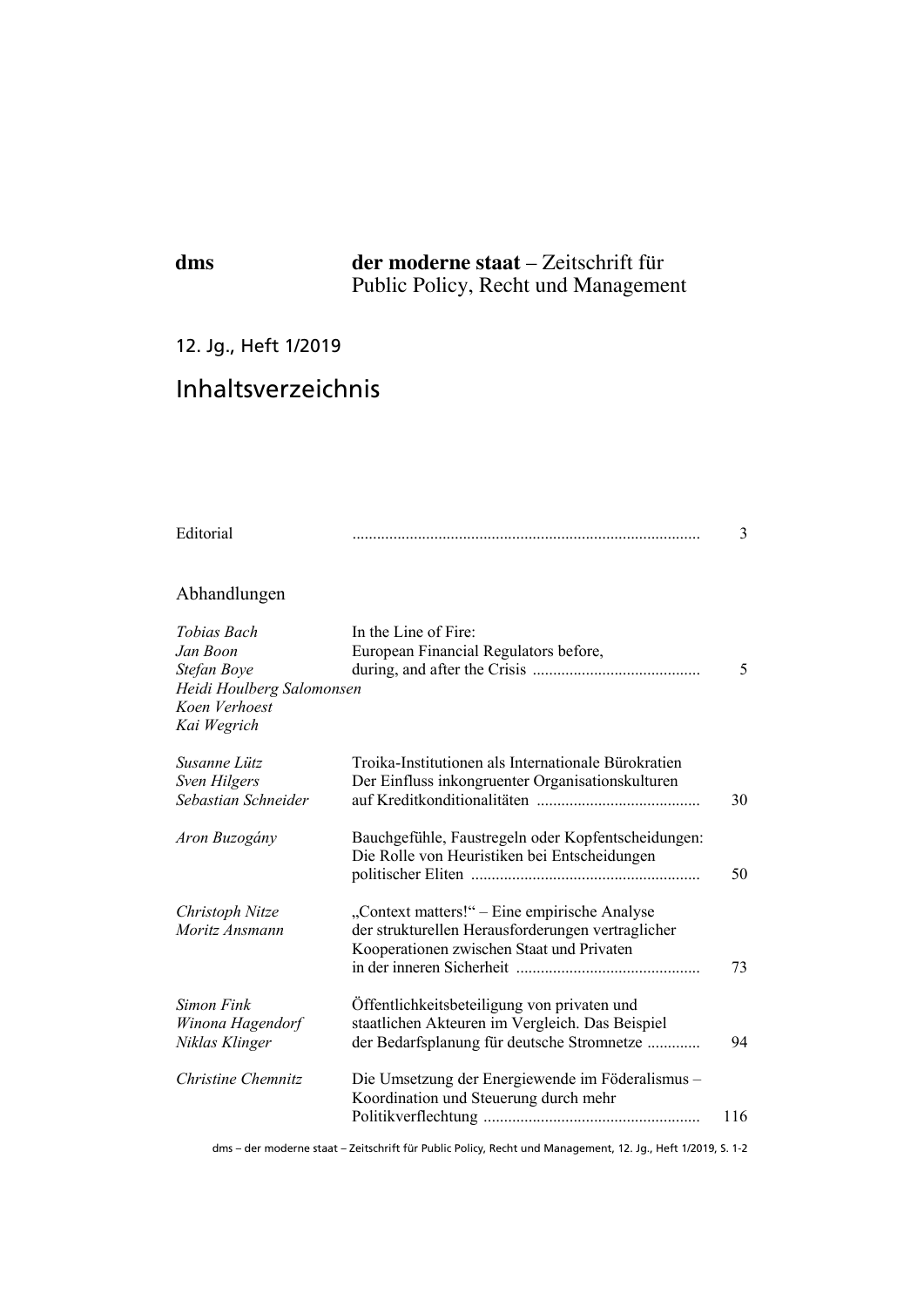# **dms der moderne staat** – Zeitschrift für Public Policy, Recht und Management

## 12. Jg., Heft 1/2019

# Inhaltsverzeichnis

| Editorial                                                                                           |                                                                                                                                                | 3   |
|-----------------------------------------------------------------------------------------------------|------------------------------------------------------------------------------------------------------------------------------------------------|-----|
| Abhandlungen                                                                                        |                                                                                                                                                |     |
| Tobias Bach<br>Jan Boon<br>Stefan Boye<br>Heidi Houlberg Salomonsen<br>Koen Verhoest<br>Kai Wegrich | In the Line of Fire:<br>European Financial Regulators before,                                                                                  | 5   |
| Susanne Lütz<br><b>Sven Hilgers</b><br>Sebastian Schneider                                          | Troika-Institutionen als Internationale Bürokratien<br>Der Einfluss inkongruenter Organisationskulturen                                        | 30  |
| Aron Buzogány                                                                                       | Bauchgefühle, Faustregeln oder Kopfentscheidungen:<br>Die Rolle von Heuristiken bei Entscheidungen                                             | 50  |
| Christoph Nitze<br>Moritz Ansmann                                                                   | "Context matters!" – Eine empirische Analyse<br>der strukturellen Herausforderungen vertraglicher<br>Kooperationen zwischen Staat und Privaten | 73  |
| <b>Simon Fink</b><br>Winona Hagendorf<br>Niklas Klinger                                             | Öffentlichkeitsbeteiligung von privaten und<br>staatlichen Akteuren im Vergleich. Das Beispiel<br>der Bedarfsplanung für deutsche Stromnetze   | 94  |
| Christine Chemnitz                                                                                  | Die Umsetzung der Energiewende im Föderalismus-<br>Koordination und Steuerung durch mehr                                                       | 116 |
|                                                                                                     | dms - der moderne staat - Zeitschrift für Public Policy, Recht und Management, 12. Jg., Heft 1/2019, S. 1-2                                    |     |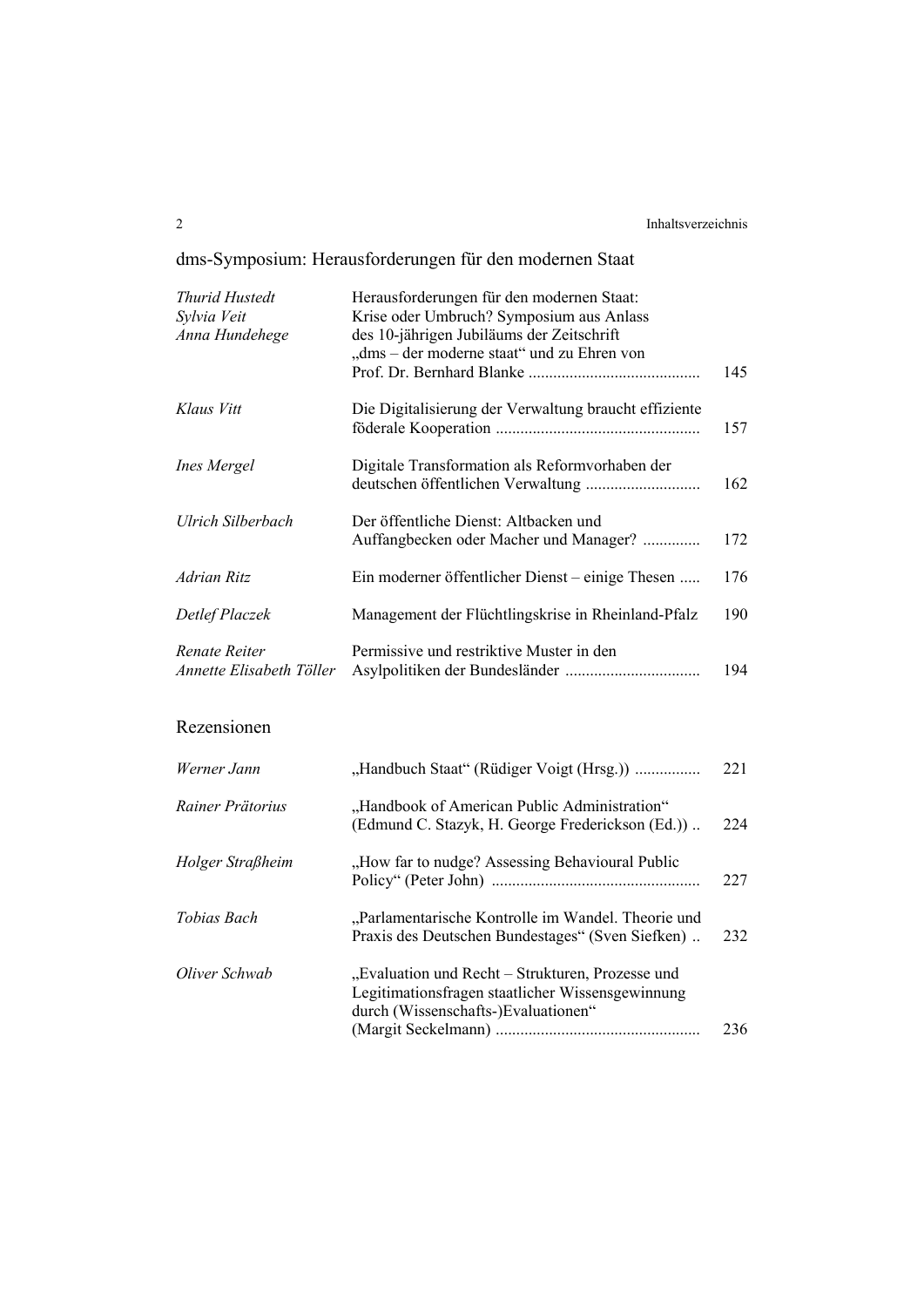# dms-Symposium: Herausforderungen für den modernen Staat

| <b>Thurid Hustedt</b><br>Sylvia Veit<br>Anna Hundehege | Herausforderungen für den modernen Staat:<br>Krise oder Umbruch? Symposium aus Anlass<br>des 10-jährigen Jubiläums der Zeitschrift<br>"dms - der moderne staat" und zu Ehren von | 145 |
|--------------------------------------------------------|----------------------------------------------------------------------------------------------------------------------------------------------------------------------------------|-----|
| Klaus Vitt                                             | Die Digitalisierung der Verwaltung braucht effiziente                                                                                                                            | 157 |
| <b>Ines Mergel</b>                                     | Digitale Transformation als Reformvorhaben der<br>deutschen öffentlichen Verwaltung                                                                                              | 162 |
| Ulrich Silberbach                                      | Der öffentliche Dienst: Altbacken und<br>Auffangbecken oder Macher und Manager?                                                                                                  | 172 |
| <b>Adrian Ritz</b>                                     | Ein moderner öffentlicher Dienst – einige Thesen                                                                                                                                 | 176 |
| Detlef Placzek                                         | Management der Flüchtlingskrise in Rheinland-Pfalz                                                                                                                               | 190 |
| Renate Reiter<br>Annette Elisabeth Töller              | Permissive und restriktive Muster in den                                                                                                                                         | 194 |
| Rezensionen                                            |                                                                                                                                                                                  |     |
| Werner Jann                                            | "Handbuch Staat" (Rüdiger Voigt (Hrsg.))                                                                                                                                         | 221 |
| Rainer Prätorius                                       | "Handbook of American Public Administration"<br>(Edmund C. Stazyk, H. George Frederickson (Ed.))                                                                                 | 224 |
| Holger Straßheim                                       | "How far to nudge? Assessing Behavioural Public                                                                                                                                  | 227 |
| Tobias Bach                                            | "Parlamentarische Kontrolle im Wandel. Theorie und<br>Praxis des Deutschen Bundestages" (Sven Siefken)                                                                           | 232 |
| Oliver Schwab                                          | "Evaluation und Recht - Strukturen, Prozesse und<br>Legitimationsfragen staatlicher Wissensgewinnung<br>durch (Wissenschafts-)Evaluationen"                                      | 236 |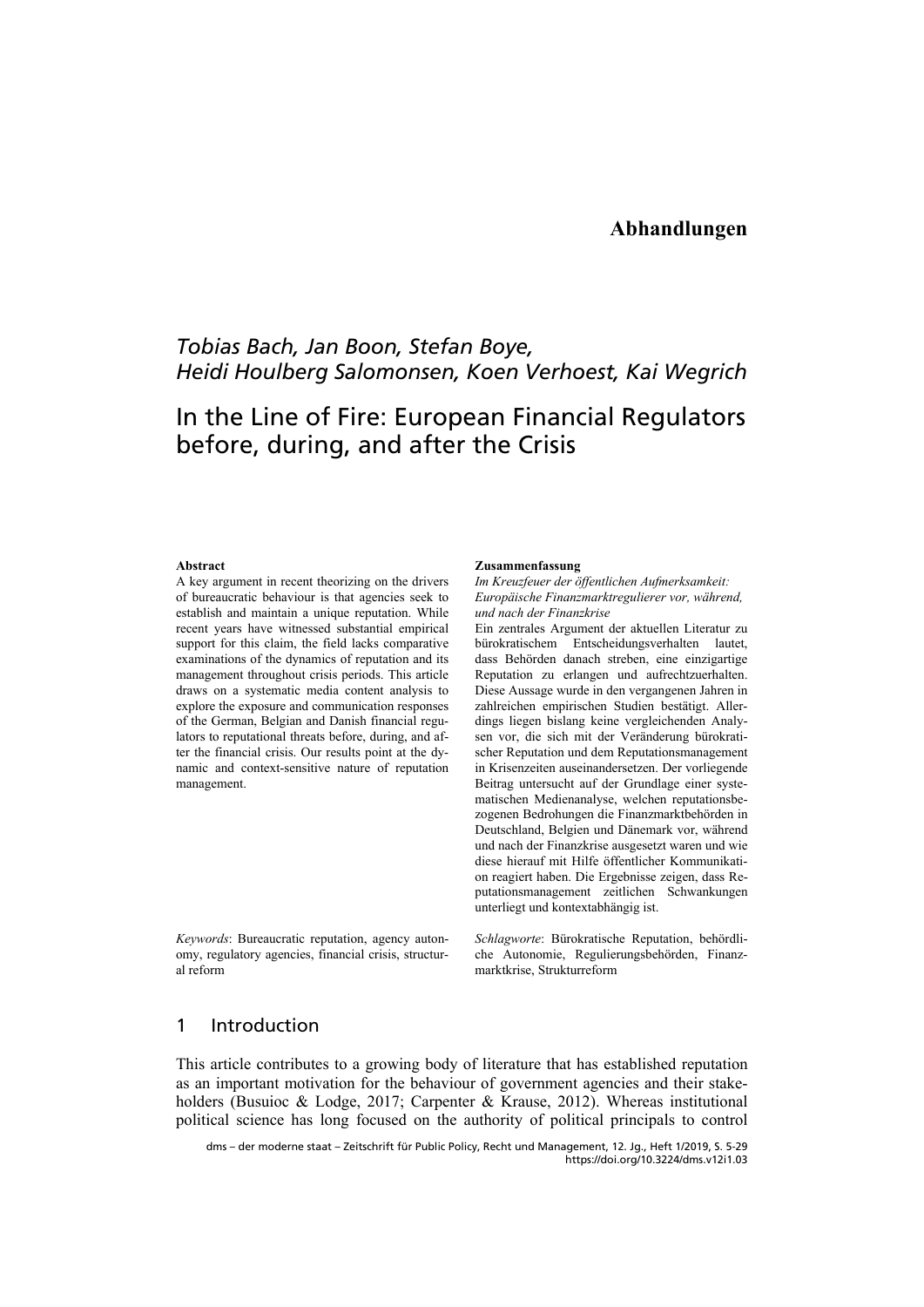## *Tobias Bach, Jan Boon, Stefan Boye, Heidi Houlberg Salomonsen, Koen Verhoest, Kai Wegrich*

# In the Line of Fire: European Financial Regulators before, during, and after the Crisis

### **Abstract**

A key argument in recent theorizing on the drivers of bureaucratic behaviour is that agencies seek to establish and maintain a unique reputation. While recent years have witnessed substantial empirical support for this claim, the field lacks comparative examinations of the dynamics of reputation and its management throughout crisis periods. This article draws on a systematic media content analysis to explore the exposure and communication responses of the German, Belgian and Danish financial regulators to reputational threats before, during, and after the financial crisis. Our results point at the dynamic and context-sensitive nature of reputation management.

*Keywords*: Bureaucratic reputation, agency autonomy, regulatory agencies, financial crisis, structural reform

#### **Zusammenfassung**

*Im Kreuzfeuer der öffentlichen Aufmerksamkeit: Europäische Finanzmarktregulierer vor, während, und nach der Finanzkrise* 

Ein zentrales Argument der aktuellen Literatur zu bürokratischem Entscheidungsverhalten lautet, dass Behörden danach streben, eine einzigartige Reputation zu erlangen und aufrechtzuerhalten. Diese Aussage wurde in den vergangenen Jahren in zahlreichen empirischen Studien bestätigt. Allerdings liegen bislang keine vergleichenden Analysen vor, die sich mit der Veränderung bürokratischer Reputation und dem Reputationsmanagement in Krisenzeiten auseinandersetzen. Der vorliegende Beitrag untersucht auf der Grundlage einer systematischen Medienanalyse, welchen reputationsbezogenen Bedrohungen die Finanzmarktbehörden in Deutschland, Belgien und Dänemark vor, während und nach der Finanzkrise ausgesetzt waren und wie diese hierauf mit Hilfe öffentlicher Kommunikation reagiert haben. Die Ergebnisse zeigen, dass Reputationsmanagement zeitlichen Schwankungen unterliegt und kontextabhängig ist.

*Schlagworte*: Bürokratische Reputation, behördliche Autonomie, Regulierungsbehörden, Finanzmarktkrise, Strukturreform

## 1 Introduction

This article contributes to a growing body of literature that has established reputation as an important motivation for the behaviour of government agencies and their stakeholders (Busuioc & Lodge, 2017; Carpenter & Krause, 2012). Whereas institutional political science has long focused on the authority of political principals to control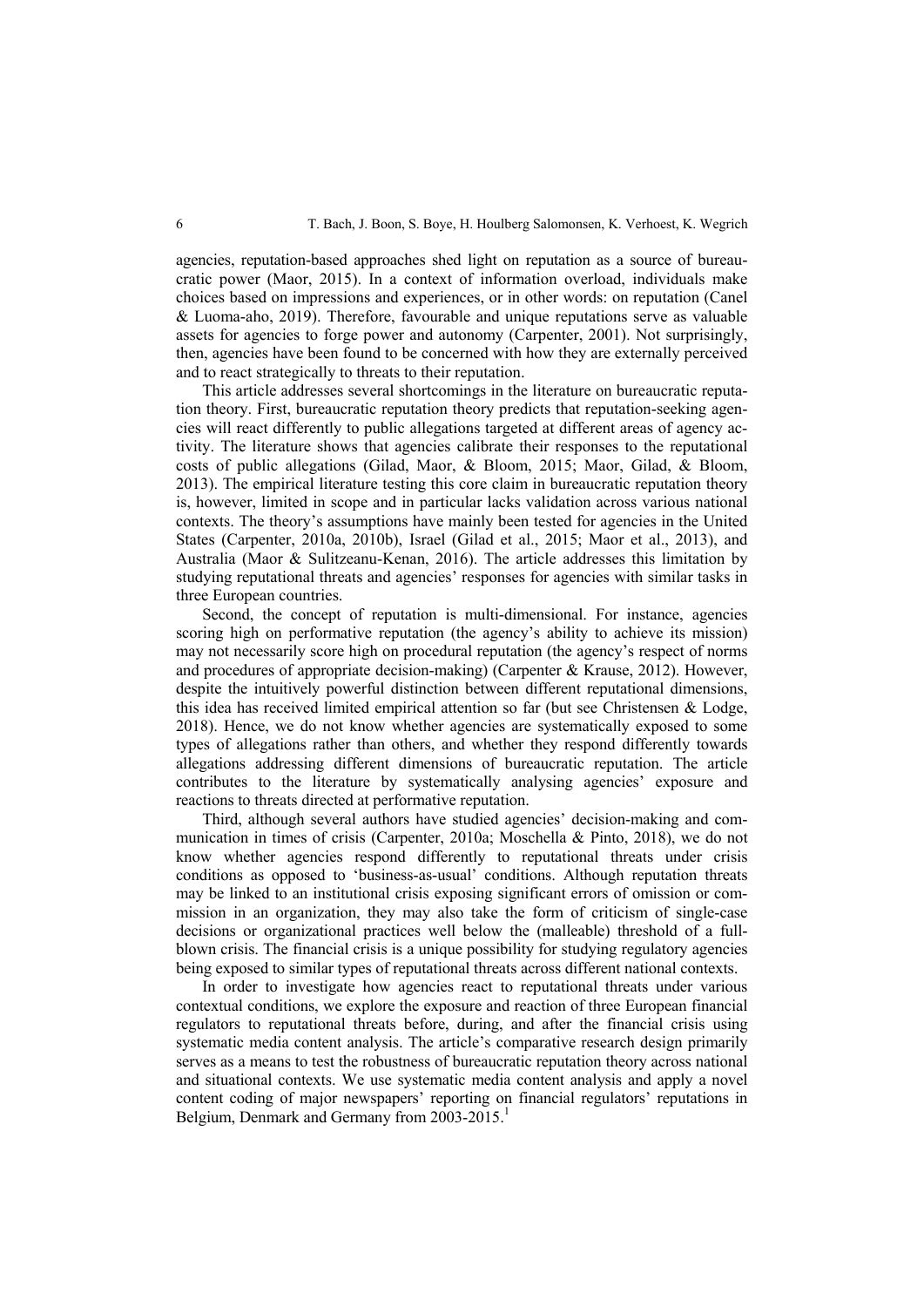agencies, reputation-based approaches shed light on reputation as a source of bureaucratic power (Maor, 2015). In a context of information overload, individuals make choices based on impressions and experiences, or in other words: on reputation (Canel & Luoma-aho, 2019). Therefore, favourable and unique reputations serve as valuable assets for agencies to forge power and autonomy (Carpenter, 2001). Not surprisingly, then, agencies have been found to be concerned with how they are externally perceived and to react strategically to threats to their reputation.

This article addresses several shortcomings in the literature on bureaucratic reputation theory. First, bureaucratic reputation theory predicts that reputation-seeking agencies will react differently to public allegations targeted at different areas of agency activity. The literature shows that agencies calibrate their responses to the reputational costs of public allegations (Gilad, Maor, & Bloom, 2015; Maor, Gilad, & Bloom, 2013). The empirical literature testing this core claim in bureaucratic reputation theory is, however, limited in scope and in particular lacks validation across various national contexts. The theory's assumptions have mainly been tested for agencies in the United States (Carpenter, 2010a, 2010b), Israel (Gilad et al., 2015; Maor et al., 2013), and Australia (Maor & Sulitzeanu-Kenan, 2016). The article addresses this limitation by studying reputational threats and agencies' responses for agencies with similar tasks in three European countries.

Second, the concept of reputation is multi-dimensional. For instance, agencies scoring high on performative reputation (the agency's ability to achieve its mission) may not necessarily score high on procedural reputation (the agency's respect of norms and procedures of appropriate decision-making) (Carpenter & Krause, 2012). However, despite the intuitively powerful distinction between different reputational dimensions, this idea has received limited empirical attention so far (but see Christensen & Lodge, 2018). Hence, we do not know whether agencies are systematically exposed to some types of allegations rather than others, and whether they respond differently towards allegations addressing different dimensions of bureaucratic reputation. The article contributes to the literature by systematically analysing agencies' exposure and reactions to threats directed at performative reputation.

Third, although several authors have studied agencies' decision-making and communication in times of crisis (Carpenter, 2010a; Moschella & Pinto, 2018), we do not know whether agencies respond differently to reputational threats under crisis conditions as opposed to 'business-as-usual' conditions. Although reputation threats may be linked to an institutional crisis exposing significant errors of omission or commission in an organization, they may also take the form of criticism of single-case decisions or organizational practices well below the (malleable) threshold of a fullblown crisis. The financial crisis is a unique possibility for studying regulatory agencies being exposed to similar types of reputational threats across different national contexts.

In order to investigate how agencies react to reputational threats under various contextual conditions, we explore the exposure and reaction of three European financial regulators to reputational threats before, during, and after the financial crisis using systematic media content analysis. The article's comparative research design primarily serves as a means to test the robustness of bureaucratic reputation theory across national and situational contexts. We use systematic media content analysis and apply a novel content coding of major newspapers' reporting on financial regulators' reputations in Belgium, Denmark and Germany from 2003-2015.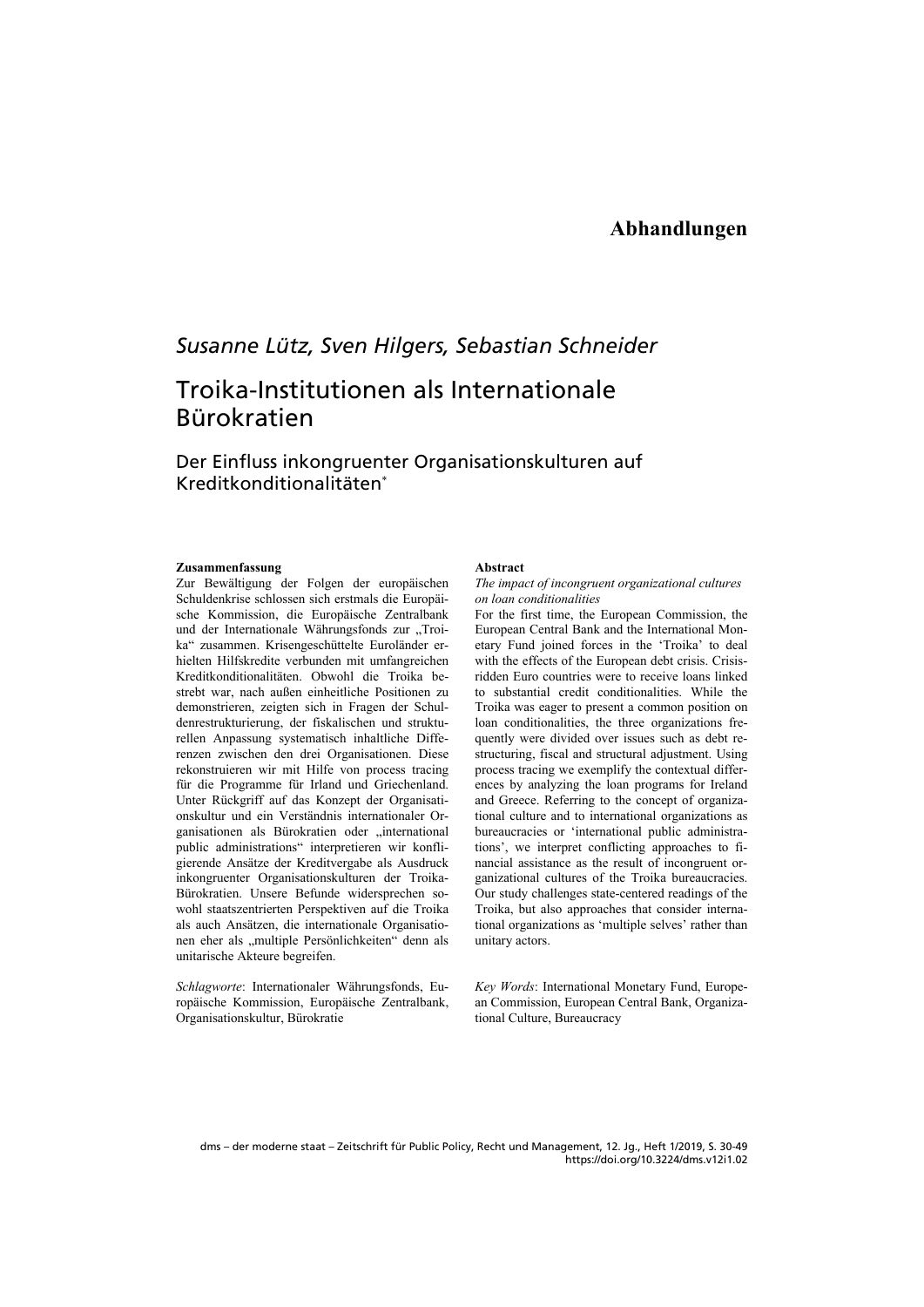## **Abhandlungen**

## *Susanne Lütz, Sven Hilgers, Sebastian Schneider*

# Troika-Institutionen als Internationale Bürokratien

### Der Einfluss inkongruenter Organisationskulturen auf Kreditkonditionalitäten

### **Zusammenfassung**

Zur Bewältigung der Folgen der europäischen Schuldenkrise schlossen sich erstmals die Europäische Kommission, die Europäische Zentralbank und der Internationale Währungsfonds zur "Troika" zusammen. Krisengeschüttelte Euroländer erhielten Hilfskredite verbunden mit umfangreichen Kreditkonditionalitäten. Obwohl die Troika bestrebt war, nach außen einheitliche Positionen zu demonstrieren, zeigten sich in Fragen der Schuldenrestrukturierung, der fiskalischen und strukturellen Anpassung systematisch inhaltliche Differenzen zwischen den drei Organisationen. Diese rekonstruieren wir mit Hilfe von process tracing für die Programme für Irland und Griechenland. Unter Rückgriff auf das Konzept der Organisationskultur und ein Verständnis internationaler Organisationen als Bürokratien oder "international public administrations" interpretieren wir konfligierende Ansätze der Kreditvergabe als Ausdruck inkongruenter Organisationskulturen der Troika-Bürokratien. Unsere Befunde widersprechen sowohl staatszentrierten Perspektiven auf die Troika als auch Ansätzen, die internationale Organisationen eher als "multiple Persönlichkeiten" denn als unitarische Akteure begreifen.

*Schlagworte*: Internationaler Währungsfonds, Europäische Kommission, Europäische Zentralbank, Organisationskultur, Bürokratie

#### **Abstract**

### *The impact of incongruent organizational cultures on loan conditionalities*

For the first time, the European Commission, the European Central Bank and the International Monetary Fund joined forces in the 'Troika' to deal with the effects of the European debt crisis. Crisisridden Euro countries were to receive loans linked to substantial credit conditionalities. While the Troika was eager to present a common position on loan conditionalities, the three organizations frequently were divided over issues such as debt restructuring, fiscal and structural adjustment. Using process tracing we exemplify the contextual differences by analyzing the loan programs for Ireland and Greece. Referring to the concept of organizational culture and to international organizations as bureaucracies or 'international public administrations', we interpret conflicting approaches to financial assistance as the result of incongruent organizational cultures of the Troika bureaucracies. Our study challenges state-centered readings of the Troika, but also approaches that consider international organizations as 'multiple selves' rather than unitary actors.

*Key Words*: International Monetary Fund, European Commission, European Central Bank, Organizational Culture, Bureaucracy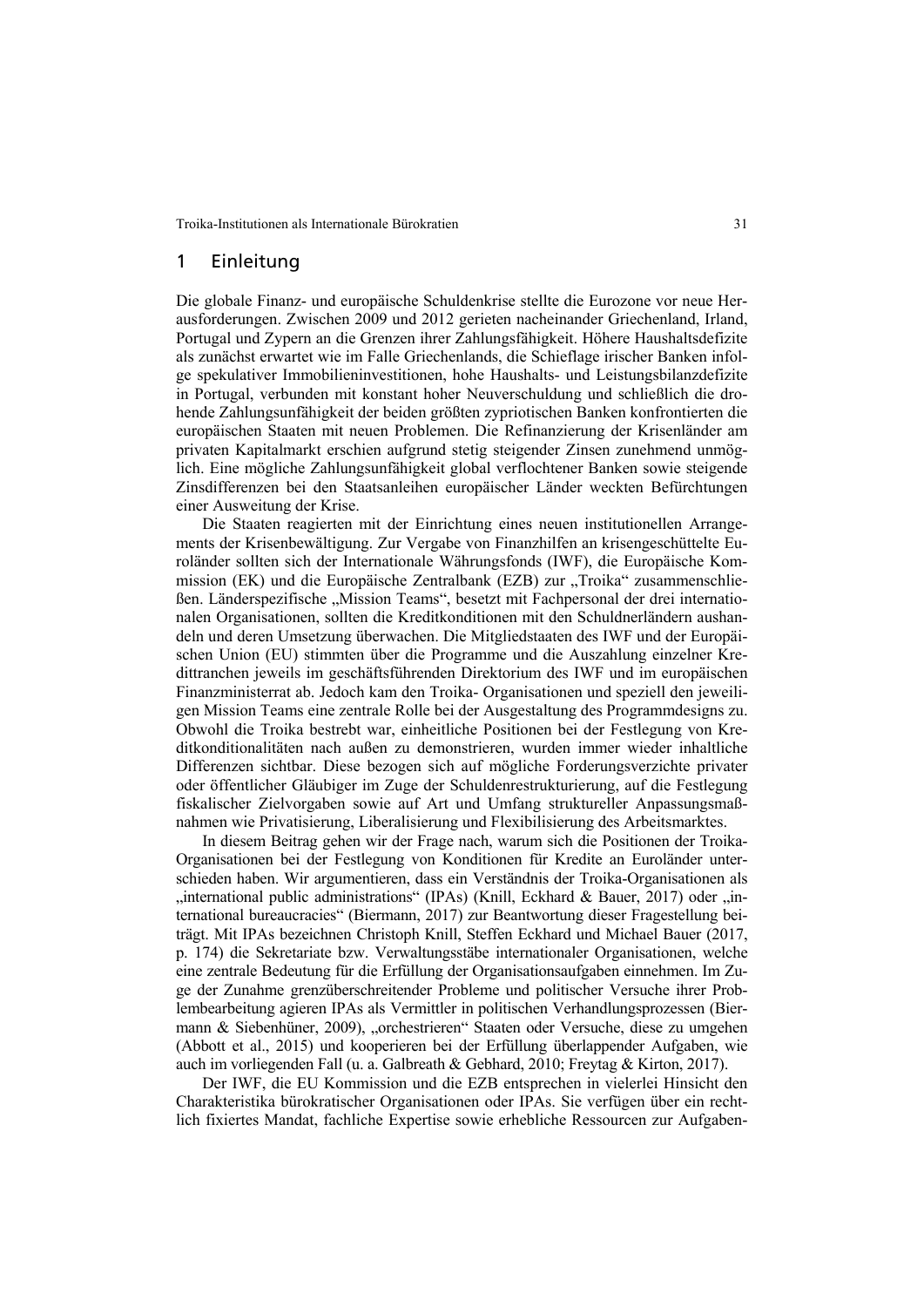### 1 Einleitung

Die globale Finanz- und europäische Schuldenkrise stellte die Eurozone vor neue Herausforderungen. Zwischen 2009 und 2012 gerieten nacheinander Griechenland, Irland, Portugal und Zypern an die Grenzen ihrer Zahlungsfähigkeit. Höhere Haushaltsdefizite als zunächst erwartet wie im Falle Griechenlands, die Schieflage irischer Banken infolge spekulativer Immobilieninvestitionen, hohe Haushalts- und Leistungsbilanzdefizite in Portugal, verbunden mit konstant hoher Neuverschuldung und schließlich die drohende Zahlungsunfähigkeit der beiden größten zypriotischen Banken konfrontierten die europäischen Staaten mit neuen Problemen. Die Refinanzierung der Krisenländer am privaten Kapitalmarkt erschien aufgrund stetig steigender Zinsen zunehmend unmöglich. Eine mögliche Zahlungsunfähigkeit global verflochtener Banken sowie steigende Zinsdifferenzen bei den Staatsanleihen europäischer Länder weckten Befürchtungen einer Ausweitung der Krise.

Die Staaten reagierten mit der Einrichtung eines neuen institutionellen Arrangements der Krisenbewältigung. Zur Vergabe von Finanzhilfen an krisengeschüttelte Euroländer sollten sich der Internationale Währungsfonds (IWF), die Europäische Kommission (EK) und die Europäische Zentralbank (EZB) zur "Troika" zusammenschließen. Länderspezifische "Mission Teams", besetzt mit Fachpersonal der drei internationalen Organisationen, sollten die Kreditkonditionen mit den Schuldnerländern aushandeln und deren Umsetzung überwachen. Die Mitgliedstaaten des IWF und der Europäischen Union (EU) stimmten über die Programme und die Auszahlung einzelner Kredittranchen jeweils im geschäftsführenden Direktorium des IWF und im europäischen Finanzministerrat ab. Jedoch kam den Troika- Organisationen und speziell den jeweiligen Mission Teams eine zentrale Rolle bei der Ausgestaltung des Programmdesigns zu. Obwohl die Troika bestrebt war, einheitliche Positionen bei der Festlegung von Kreditkonditionalitäten nach außen zu demonstrieren, wurden immer wieder inhaltliche Differenzen sichtbar. Diese bezogen sich auf mögliche Forderungsverzichte privater oder öffentlicher Gläubiger im Zuge der Schuldenrestrukturierung, auf die Festlegung fiskalischer Zielvorgaben sowie auf Art und Umfang struktureller Anpassungsmaßnahmen wie Privatisierung, Liberalisierung und Flexibilisierung des Arbeitsmarktes.

In diesem Beitrag gehen wir der Frage nach, warum sich die Positionen der Troika-Organisationen bei der Festlegung von Konditionen für Kredite an Euroländer unterschieden haben. Wir argumentieren, dass ein Verständnis der Troika-Organisationen als "international public administrations" (IPAs) (Knill, Eckhard & Bauer, 2017) oder "international bureaucracies" (Biermann, 2017) zur Beantwortung dieser Fragestellung beiträgt. Mit IPAs bezeichnen Christoph Knill, Steffen Eckhard und Michael Bauer (2017, p. 174) die Sekretariate bzw. Verwaltungsstäbe internationaler Organisationen, welche eine zentrale Bedeutung für die Erfüllung der Organisationsaufgaben einnehmen. Im Zuge der Zunahme grenzüberschreitender Probleme und politischer Versuche ihrer Problembearbeitung agieren IPAs als Vermittler in politischen Verhandlungsprozessen (Biermann & Siebenhüner, 2009), "orchestrieren" Staaten oder Versuche, diese zu umgehen (Abbott et al., 2015) und kooperieren bei der Erfüllung überlappender Aufgaben, wie auch im vorliegenden Fall (u. a. Galbreath & Gebhard, 2010; Freytag & Kirton, 2017).

Der IWF, die EU Kommission und die EZB entsprechen in vielerlei Hinsicht den Charakteristika bürokratischer Organisationen oder IPAs. Sie verfügen über ein rechtlich fixiertes Mandat, fachliche Expertise sowie erhebliche Ressourcen zur Aufgaben-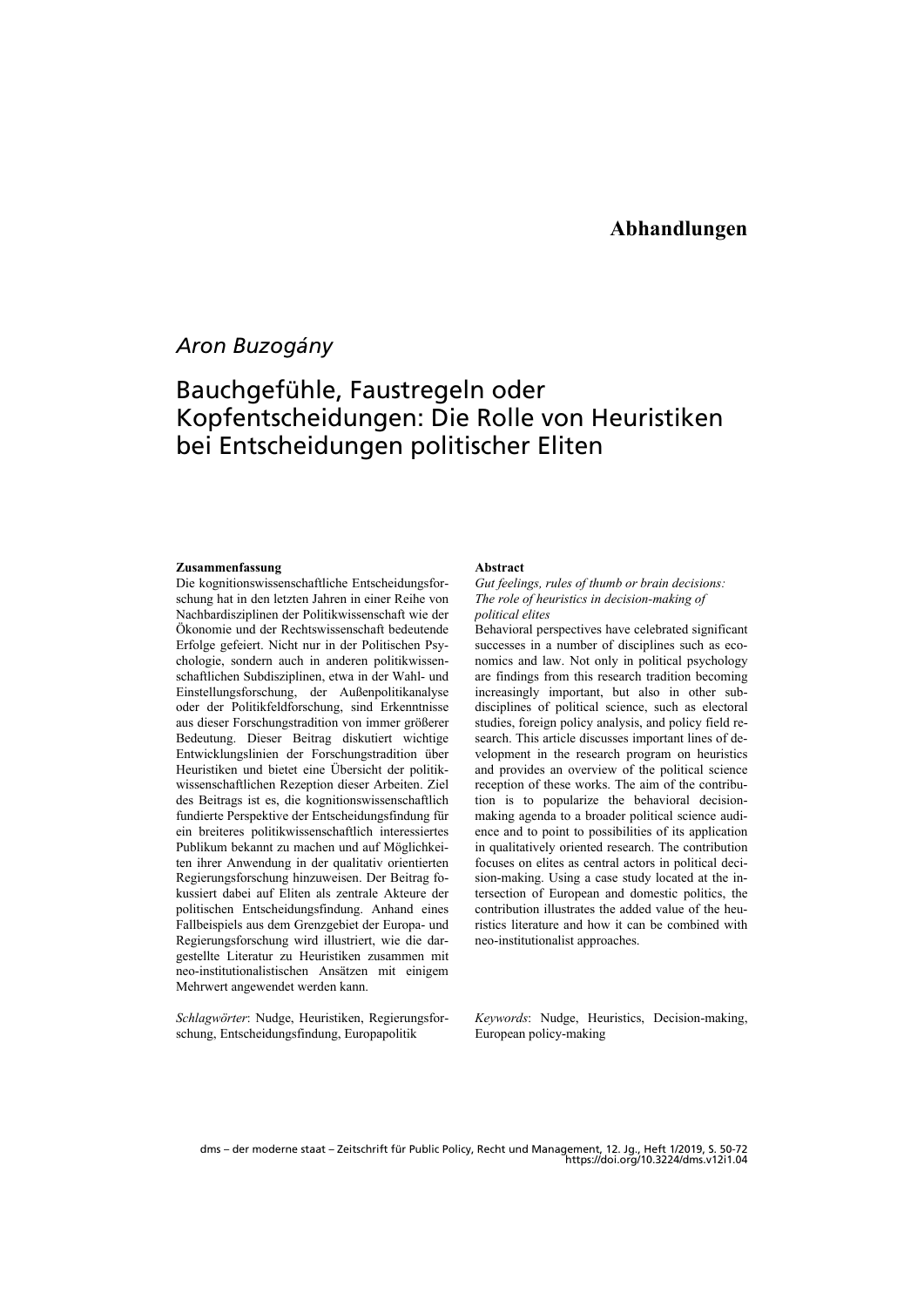## *Aron Buzogány*

# Bauchgefühle, Faustregeln oder Kopfentscheidungen: Die Rolle von Heuristiken bei Entscheidungen politischer Eliten

### **Zusammenfassung**

Die kognitionswissenschaftliche Entscheidungsforschung hat in den letzten Jahren in einer Reihe von Nachbardisziplinen der Politikwissenschaft wie der Ökonomie und der Rechtswissenschaft bedeutende Erfolge gefeiert. Nicht nur in der Politischen Psychologie, sondern auch in anderen politikwissenschaftlichen Subdisziplinen, etwa in der Wahl- und Einstellungsforschung, der Außenpolitikanalyse oder der Politikfeldforschung, sind Erkenntnisse aus dieser Forschungstradition von immer größerer Bedeutung. Dieser Beitrag diskutiert wichtige Entwicklungslinien der Forschungstradition über Heuristiken und bietet eine Übersicht der politikwissenschaftlichen Rezeption dieser Arbeiten. Ziel des Beitrags ist es, die kognitionswissenschaftlich fundierte Perspektive der Entscheidungsfindung für ein breiteres politikwissenschaftlich interessiertes Publikum bekannt zu machen und auf Möglichkeiten ihrer Anwendung in der qualitativ orientierten Regierungsforschung hinzuweisen. Der Beitrag fokussiert dabei auf Eliten als zentrale Akteure der politischen Entscheidungsfindung. Anhand eines Fallbeispiels aus dem Grenzgebiet der Europa- und Regierungsforschung wird illustriert, wie die dargestellte Literatur zu Heuristiken zusammen mit neo-institutionalistischen Ansätzen mit einigem Mehrwert angewendet werden kann.

*Schlagwörter*: Nudge, Heuristiken, Regierungsforschung, Entscheidungsfindung, Europapolitik

#### **Abstract**

*Gut feelings, rules of thumb or brain decisions: The role of heuristics in decision-making of political elites* 

Behavioral perspectives have celebrated significant successes in a number of disciplines such as economics and law. Not only in political psychology are findings from this research tradition becoming increasingly important, but also in other subdisciplines of political science, such as electoral studies, foreign policy analysis, and policy field research. This article discusses important lines of development in the research program on heuristics and provides an overview of the political science reception of these works. The aim of the contribution is to popularize the behavioral decisionmaking agenda to a broader political science audience and to point to possibilities of its application in qualitatively oriented research. The contribution focuses on elites as central actors in political decision-making. Using a case study located at the intersection of European and domestic politics, the contribution illustrates the added value of the heuristics literature and how it can be combined with neo-institutionalist approaches.

*Keywords*: Nudge, Heuristics, Decision-making, European policy-making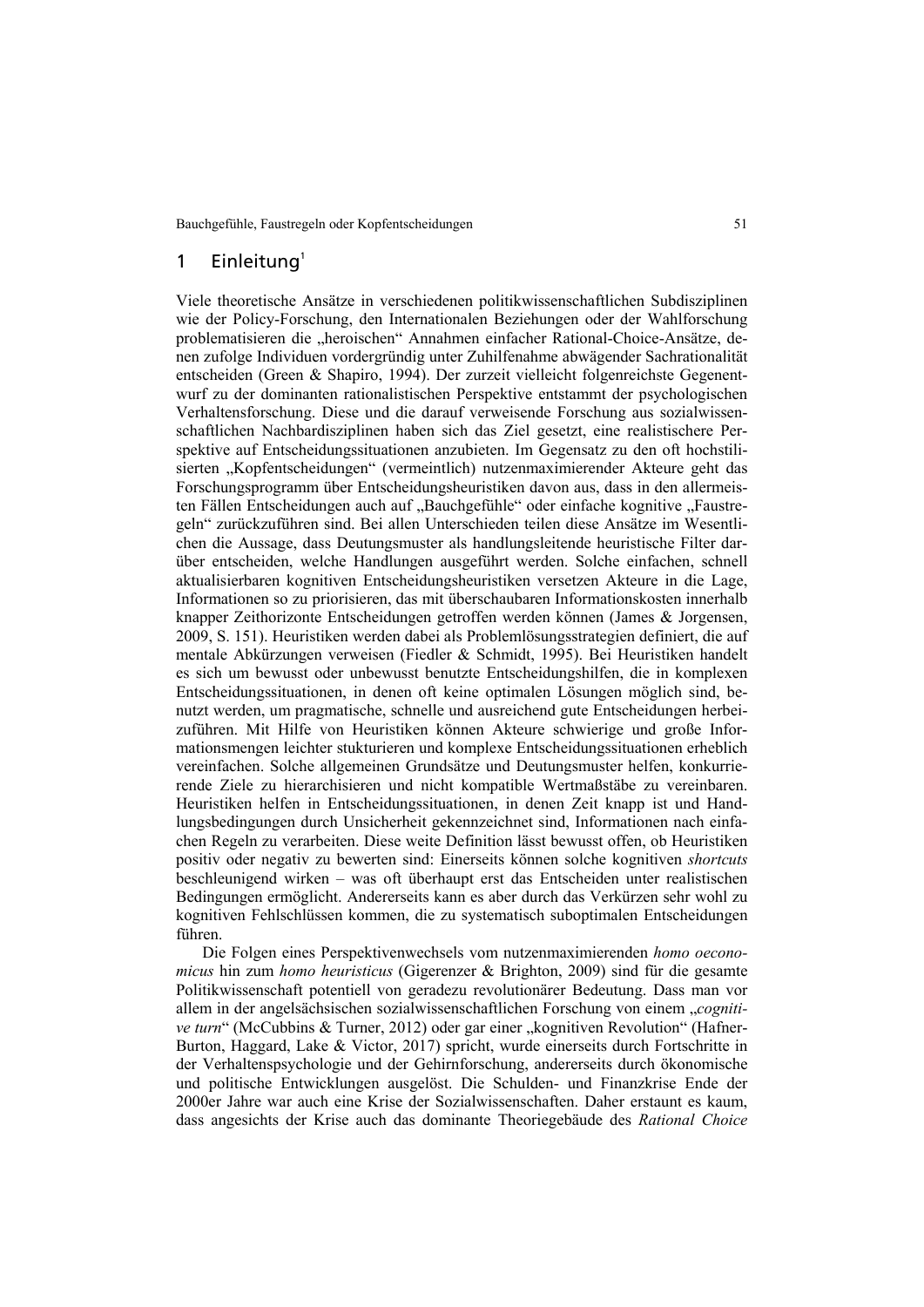### 1 Einleitung $1$

Viele theoretische Ansätze in verschiedenen politikwissenschaftlichen Subdisziplinen wie der Policy-Forschung, den Internationalen Beziehungen oder der Wahlforschung problematisieren die "heroischen" Annahmen einfacher Rational-Choice-Ansätze, denen zufolge Individuen vordergründig unter Zuhilfenahme abwägender Sachrationalität entscheiden (Green & Shapiro, 1994). Der zurzeit vielleicht folgenreichste Gegenentwurf zu der dominanten rationalistischen Perspektive entstammt der psychologischen Verhaltensforschung. Diese und die darauf verweisende Forschung aus sozialwissenschaftlichen Nachbardisziplinen haben sich das Ziel gesetzt, eine realistischere Perspektive auf Entscheidungssituationen anzubieten. Im Gegensatz zu den oft hochstilisierten "Kopfentscheidungen" (vermeintlich) nutzenmaximierender Akteure geht das Forschungsprogramm über Entscheidungsheuristiken davon aus, dass in den allermeisten Fällen Entscheidungen auch auf "Bauchgefühle" oder einfache kognitive "Faustregeln" zurückzuführen sind. Bei allen Unterschieden teilen diese Ansätze im Wesentlichen die Aussage, dass Deutungsmuster als handlungsleitende heuristische Filter darüber entscheiden, welche Handlungen ausgeführt werden. Solche einfachen, schnell aktualisierbaren kognitiven Entscheidungsheuristiken versetzen Akteure in die Lage, Informationen so zu priorisieren, das mit überschaubaren Informationskosten innerhalb knapper Zeithorizonte Entscheidungen getroffen werden können (James & Jorgensen, 2009, S. 151). Heuristiken werden dabei als Problemlösungsstrategien definiert, die auf mentale Abkürzungen verweisen (Fiedler & Schmidt, 1995). Bei Heuristiken handelt es sich um bewusst oder unbewusst benutzte Entscheidungshilfen, die in komplexen Entscheidungssituationen, in denen oft keine optimalen Lösungen möglich sind, benutzt werden, um pragmatische, schnelle und ausreichend gute Entscheidungen herbeizuführen. Mit Hilfe von Heuristiken können Akteure schwierige und große Informationsmengen leichter stukturieren und komplexe Entscheidungssituationen erheblich vereinfachen. Solche allgemeinen Grundsätze und Deutungsmuster helfen, konkurrierende Ziele zu hierarchisieren und nicht kompatible Wertmaßstäbe zu vereinbaren. Heuristiken helfen in Entscheidungssituationen, in denen Zeit knapp ist und Handlungsbedingungen durch Unsicherheit gekennzeichnet sind, Informationen nach einfachen Regeln zu verarbeiten. Diese weite Definition lässt bewusst offen, ob Heuristiken positiv oder negativ zu bewerten sind: Einerseits können solche kognitiven *shortcuts* beschleunigend wirken – was oft überhaupt erst das Entscheiden unter realistischen Bedingungen ermöglicht. Andererseits kann es aber durch das Verkürzen sehr wohl zu kognitiven Fehlschlüssen kommen, die zu systematisch suboptimalen Entscheidungen führen.

Die Folgen eines Perspektivenwechsels vom nutzenmaximierenden *homo oeconomicus* hin zum *homo heuristicus* (Gigerenzer & Brighton, 2009) sind für die gesamte Politikwissenschaft potentiell von geradezu revolutionärer Bedeutung. Dass man vor allem in der angelsächsischen sozialwissenschaftlichen Forschung von einem "*cognitive turn*" (McCubbins & Turner, 2012) oder gar einer "kognitiven Revolution" (Hafner-Burton, Haggard, Lake & Victor, 2017) spricht, wurde einerseits durch Fortschritte in der Verhaltenspsychologie und der Gehirnforschung, andererseits durch ökonomische und politische Entwicklungen ausgelöst. Die Schulden- und Finanzkrise Ende der 2000er Jahre war auch eine Krise der Sozialwissenschaften. Daher erstaunt es kaum, dass angesichts der Krise auch das dominante Theoriegebäude des *Rational Choice*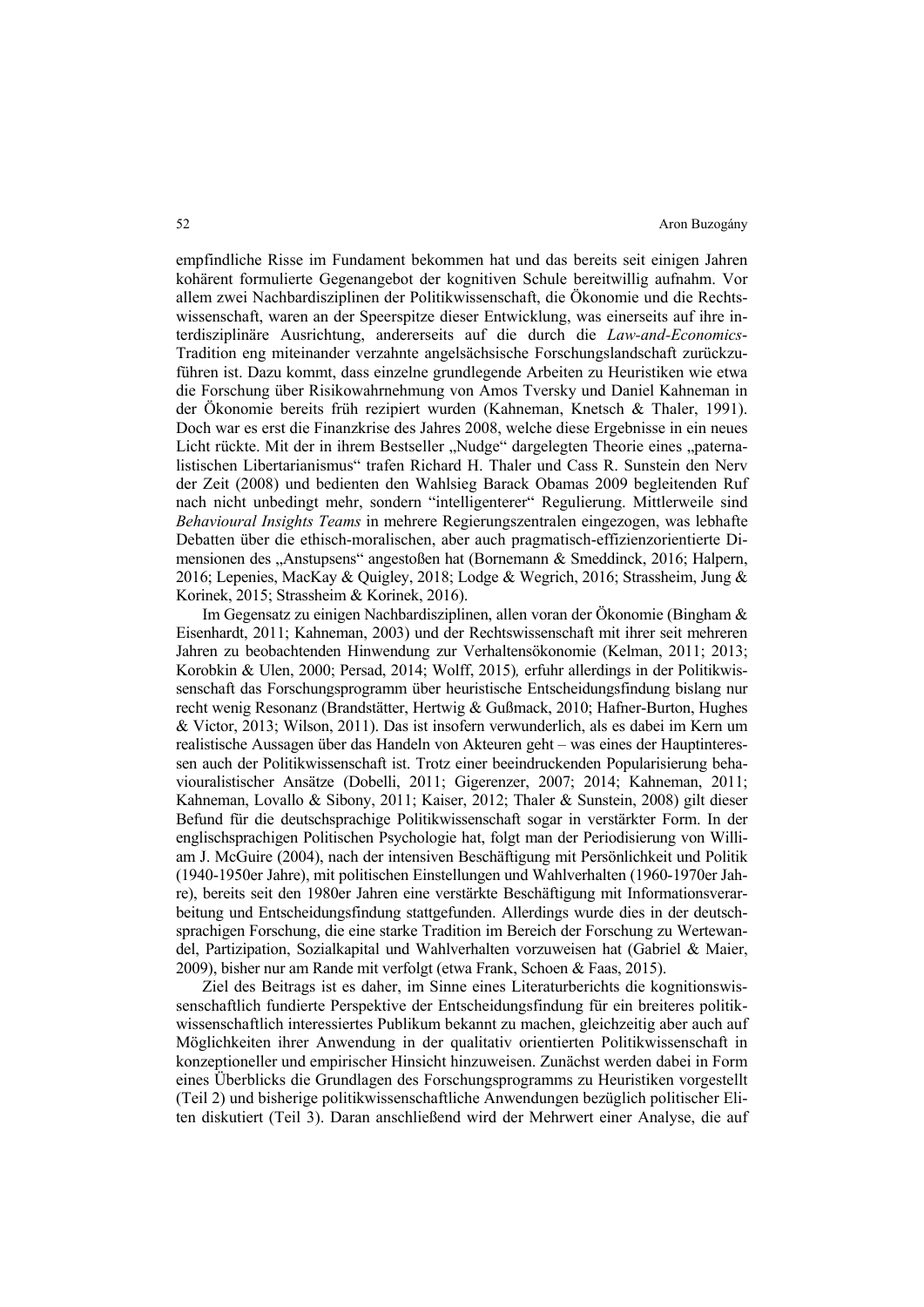empfindliche Risse im Fundament bekommen hat und das bereits seit einigen Jahren kohärent formulierte Gegenangebot der kognitiven Schule bereitwillig aufnahm. Vor allem zwei Nachbardisziplinen der Politikwissenschaft, die Ökonomie und die Rechtswissenschaft, waren an der Speerspitze dieser Entwicklung, was einerseits auf ihre interdisziplinäre Ausrichtung, andererseits auf die durch die *Law-and-Economics*-Tradition eng miteinander verzahnte angelsächsische Forschungslandschaft zurückzuführen ist. Dazu kommt, dass einzelne grundlegende Arbeiten zu Heuristiken wie etwa die Forschung über Risikowahrnehmung von Amos Tversky und Daniel Kahneman in der Ökonomie bereits früh rezipiert wurden (Kahneman, Knetsch & Thaler, 1991). Doch war es erst die Finanzkrise des Jahres 2008, welche diese Ergebnisse in ein neues Licht rückte. Mit der in ihrem Bestseller "Nudge" dargelegten Theorie eines "paternalistischen Libertarianismus" trafen Richard H. Thaler und Cass R. Sunstein den Nerv der Zeit (2008) und bedienten den Wahlsieg Barack Obamas 2009 begleitenden Ruf nach nicht unbedingt mehr, sondern "intelligenterer" Regulierung. Mittlerweile sind *Behavioural Insights Teams* in mehrere Regierungszentralen eingezogen, was lebhafte Debatten über die ethisch-moralischen, aber auch pragmatisch-effizienzorientierte Dimensionen des "Anstupsens" angestoßen hat (Bornemann & Smeddinck, 2016; Halpern, 2016; Lepenies, MacKay & Quigley, 2018; Lodge & Wegrich, 2016; Strassheim, Jung & Korinek, 2015; Strassheim & Korinek, 2016).

Im Gegensatz zu einigen Nachbardisziplinen, allen voran der Ökonomie (Bingham & Eisenhardt, 2011; Kahneman, 2003) und der Rechtswissenschaft mit ihrer seit mehreren Jahren zu beobachtenden Hinwendung zur Verhaltensökonomie (Kelman, 2011; 2013; Korobkin & Ulen, 2000; Persad, 2014; Wolff, 2015)*,* erfuhr allerdings in der Politikwissenschaft das Forschungsprogramm über heuristische Entscheidungsfindung bislang nur recht wenig Resonanz (Brandstätter, Hertwig & Gußmack, 2010; Hafner-Burton, Hughes & Victor, 2013; Wilson, 2011). Das ist insofern verwunderlich, als es dabei im Kern um realistische Aussagen über das Handeln von Akteuren geht – was eines der Hauptinteressen auch der Politikwissenschaft ist. Trotz einer beeindruckenden Popularisierung behaviouralistischer Ansätze (Dobelli, 2011; Gigerenzer, 2007; 2014; Kahneman, 2011; Kahneman, Lovallo & Sibony, 2011; Kaiser, 2012; Thaler & Sunstein, 2008) gilt dieser Befund für die deutschsprachige Politikwissenschaft sogar in verstärkter Form. In der englischsprachigen Politischen Psychologie hat, folgt man der Periodisierung von William J. McGuire (2004), nach der intensiven Beschäftigung mit Persönlichkeit und Politik (1940-1950er Jahre), mit politischen Einstellungen und Wahlverhalten (1960-1970er Jahre), bereits seit den 1980er Jahren eine verstärkte Beschäftigung mit Informationsverarbeitung und Entscheidungsfindung stattgefunden. Allerdings wurde dies in der deutschsprachigen Forschung, die eine starke Tradition im Bereich der Forschung zu Wertewandel, Partizipation, Sozialkapital und Wahlverhalten vorzuweisen hat (Gabriel & Maier, 2009), bisher nur am Rande mit verfolgt (etwa Frank, Schoen & Faas, 2015).

Ziel des Beitrags ist es daher, im Sinne eines Literaturberichts die kognitionswissenschaftlich fundierte Perspektive der Entscheidungsfindung für ein breiteres politikwissenschaftlich interessiertes Publikum bekannt zu machen, gleichzeitig aber auch auf Möglichkeiten ihrer Anwendung in der qualitativ orientierten Politikwissenschaft in konzeptioneller und empirischer Hinsicht hinzuweisen. Zunächst werden dabei in Form eines Überblicks die Grundlagen des Forschungsprogramms zu Heuristiken vorgestellt (Teil 2) und bisherige politikwissenschaftliche Anwendungen bezüglich politischer Eliten diskutiert (Teil 3). Daran anschließend wird der Mehrwert einer Analyse, die auf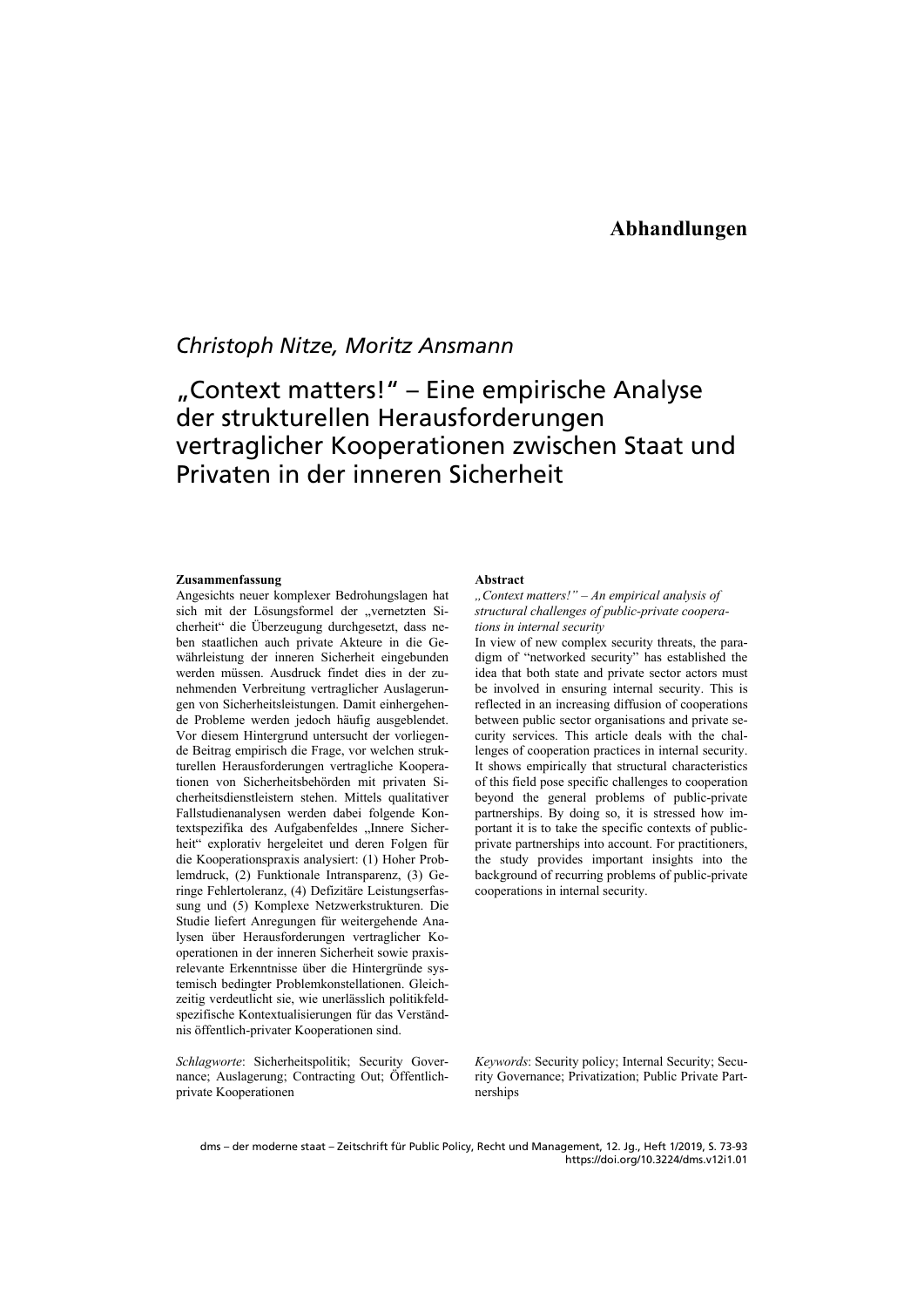## *Christoph Nitze, Moritz Ansmann*

# "Context matters!" – Eine empirische Analyse der strukturellen Herausforderungen vertraglicher Kooperationen zwischen Staat und Privaten in der inneren Sicherheit

#### **Zusammenfassung**

Angesichts neuer komplexer Bedrohungslagen hat sich mit der Lösungsformel der "vernetzten Sicherheit" die Überzeugung durchgesetzt, dass neben staatlichen auch private Akteure in die Gewährleistung der inneren Sicherheit eingebunden werden müssen. Ausdruck findet dies in der zunehmenden Verbreitung vertraglicher Auslagerungen von Sicherheitsleistungen. Damit einhergehende Probleme werden jedoch häufig ausgeblendet. Vor diesem Hintergrund untersucht der vorliegende Beitrag empirisch die Frage, vor welchen strukturellen Herausforderungen vertragliche Kooperationen von Sicherheitsbehörden mit privaten Sicherheitsdienstleistern stehen. Mittels qualitativer Fallstudienanalysen werden dabei folgende Kontextspezifika des Aufgabenfeldes "Innere Sicherheit" explorativ hergeleitet und deren Folgen für die Kooperationspraxis analysiert: (1) Hoher Problemdruck, (2) Funktionale Intransparenz, (3) Geringe Fehlertoleranz, (4) Defizitäre Leistungserfassung und (5) Komplexe Netzwerkstrukturen. Die Studie liefert Anregungen für weitergehende Analysen über Herausforderungen vertraglicher Kooperationen in der inneren Sicherheit sowie praxisrelevante Erkenntnisse über die Hintergründe systemisch bedingter Problemkonstellationen. Gleichzeitig verdeutlicht sie, wie unerlässlich politikfeldspezifische Kontextualisierungen für das Verständnis öffentlich-privater Kooperationen sind.

*Schlagworte*: Sicherheitspolitik; Security Governance; Auslagerung; Contracting Out; Öffentlichprivate Kooperationen

#### **Abstract**

### *"Context matters!" – An empirical analysis of structural challenges of public-private cooperations in internal security*

In view of new complex security threats, the paradigm of "networked security" has established the idea that both state and private sector actors must be involved in ensuring internal security. This is reflected in an increasing diffusion of cooperations between public sector organisations and private security services. This article deals with the challenges of cooperation practices in internal security. It shows empirically that structural characteristics of this field pose specific challenges to cooperation beyond the general problems of public-private partnerships. By doing so, it is stressed how important it is to take the specific contexts of publicprivate partnerships into account. For practitioners, the study provides important insights into the background of recurring problems of public-private cooperations in internal security.

*Keywords*: Security policy; Internal Security; Security Governance; Privatization; Public Private Partnerships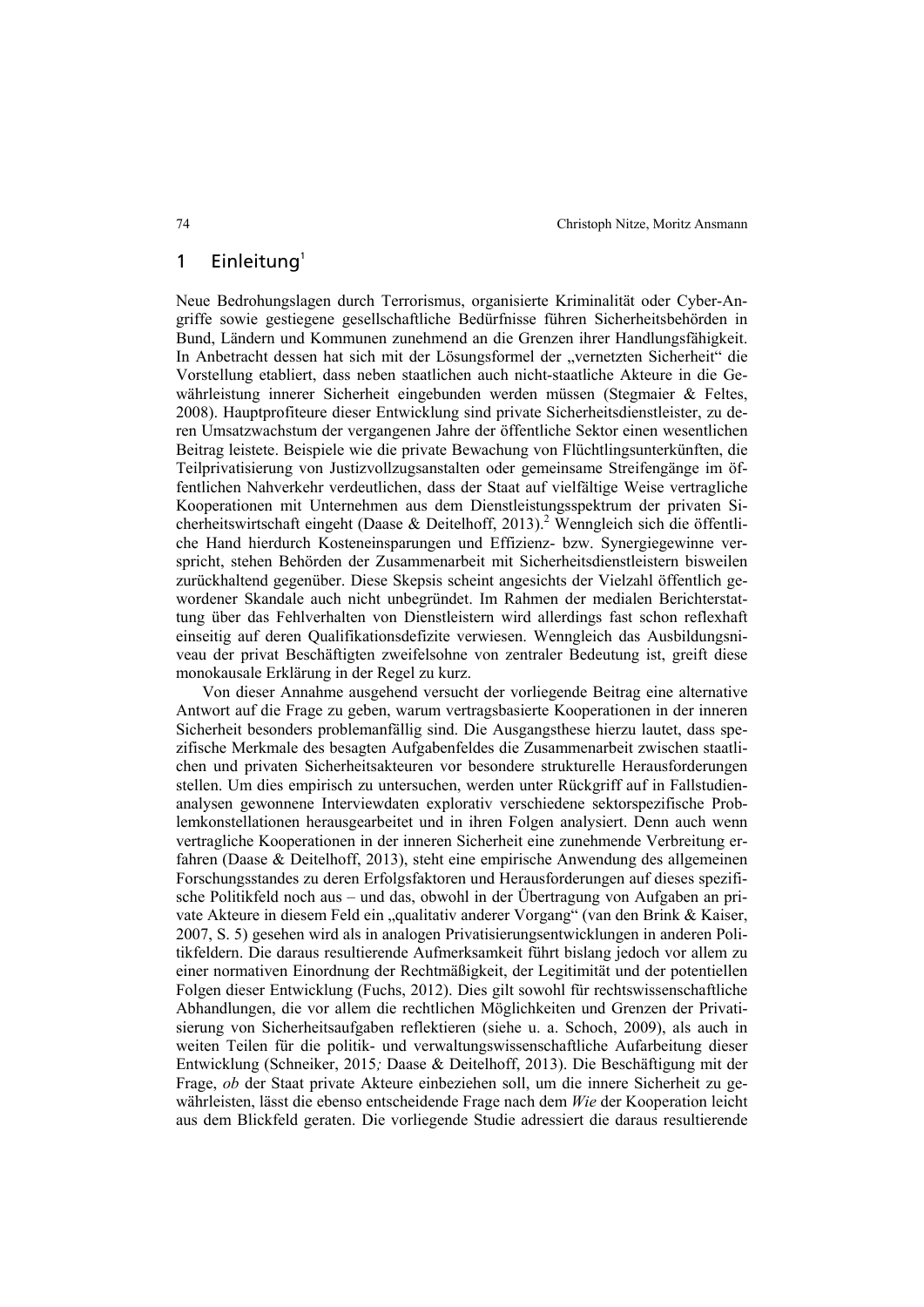### 1 Einleitung $1$

Neue Bedrohungslagen durch Terrorismus, organisierte Kriminalität oder Cyber-Angriffe sowie gestiegene gesellschaftliche Bedürfnisse führen Sicherheitsbehörden in Bund, Ländern und Kommunen zunehmend an die Grenzen ihrer Handlungsfähigkeit. In Anbetracht dessen hat sich mit der Lösungsformel der "vernetzten Sicherheit" die Vorstellung etabliert, dass neben staatlichen auch nicht-staatliche Akteure in die Gewährleistung innerer Sicherheit eingebunden werden müssen (Stegmaier & Feltes, 2008). Hauptprofiteure dieser Entwicklung sind private Sicherheitsdienstleister, zu deren Umsatzwachstum der vergangenen Jahre der öffentliche Sektor einen wesentlichen Beitrag leistete. Beispiele wie die private Bewachung von Flüchtlingsunterkünften, die Teilprivatisierung von Justizvollzugsanstalten oder gemeinsame Streifengänge im öffentlichen Nahverkehr verdeutlichen, dass der Staat auf vielfältige Weise vertragliche Kooperationen mit Unternehmen aus dem Dienstleistungsspektrum der privaten Sicherheitswirtschaft eingeht (Daase & Deitelhoff, 2013).<sup>2</sup> Wenngleich sich die öffentliche Hand hierdurch Kosteneinsparungen und Effizienz- bzw. Synergiegewinne verspricht, stehen Behörden der Zusammenarbeit mit Sicherheitsdienstleistern bisweilen zurückhaltend gegenüber. Diese Skepsis scheint angesichts der Vielzahl öffentlich gewordener Skandale auch nicht unbegründet. Im Rahmen der medialen Berichterstattung über das Fehlverhalten von Dienstleistern wird allerdings fast schon reflexhaft einseitig auf deren Qualifikationsdefizite verwiesen. Wenngleich das Ausbildungsniveau der privat Beschäftigten zweifelsohne von zentraler Bedeutung ist, greift diese monokausale Erklärung in der Regel zu kurz.

Von dieser Annahme ausgehend versucht der vorliegende Beitrag eine alternative Antwort auf die Frage zu geben, warum vertragsbasierte Kooperationen in der inneren Sicherheit besonders problemanfällig sind. Die Ausgangsthese hierzu lautet, dass spezifische Merkmale des besagten Aufgabenfeldes die Zusammenarbeit zwischen staatlichen und privaten Sicherheitsakteuren vor besondere strukturelle Herausforderungen stellen. Um dies empirisch zu untersuchen, werden unter Rückgriff auf in Fallstudienanalysen gewonnene Interviewdaten explorativ verschiedene sektorspezifische Problemkonstellationen herausgearbeitet und in ihren Folgen analysiert. Denn auch wenn vertragliche Kooperationen in der inneren Sicherheit eine zunehmende Verbreitung erfahren (Daase & Deitelhoff, 2013), steht eine empirische Anwendung des allgemeinen Forschungsstandes zu deren Erfolgsfaktoren und Herausforderungen auf dieses spezifische Politikfeld noch aus – und das, obwohl in der Übertragung von Aufgaben an private Akteure in diesem Feld ein "qualitativ anderer Vorgang" (van den Brink & Kaiser, 2007, S. 5) gesehen wird als in analogen Privatisierungsentwicklungen in anderen Politikfeldern. Die daraus resultierende Aufmerksamkeit führt bislang jedoch vor allem zu einer normativen Einordnung der Rechtmäßigkeit, der Legitimität und der potentiellen Folgen dieser Entwicklung (Fuchs, 2012). Dies gilt sowohl für rechtswissenschaftliche Abhandlungen, die vor allem die rechtlichen Möglichkeiten und Grenzen der Privatisierung von Sicherheitsaufgaben reflektieren (siehe u. a. Schoch, 2009), als auch in weiten Teilen für die politik- und verwaltungswissenschaftliche Aufarbeitung dieser Entwicklung (Schneiker, 2015*;* Daase & Deitelhoff, 2013). Die Beschäftigung mit der Frage, *ob* der Staat private Akteure einbeziehen soll, um die innere Sicherheit zu gewährleisten, lässt die ebenso entscheidende Frage nach dem *Wie* der Kooperation leicht aus dem Blickfeld geraten. Die vorliegende Studie adressiert die daraus resultierende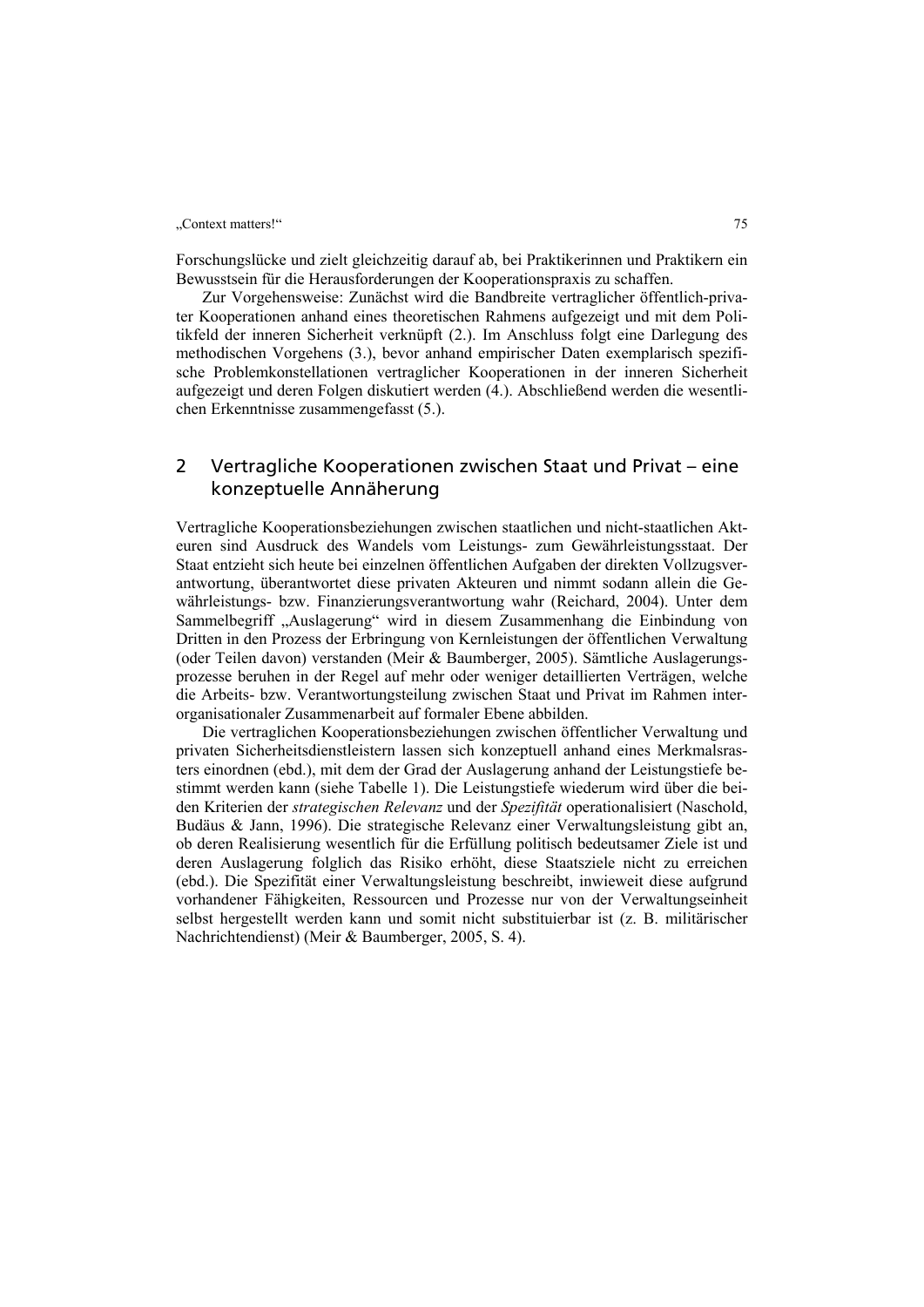Forschungslücke und zielt gleichzeitig darauf ab, bei Praktikerinnen und Praktikern ein Bewusstsein für die Herausforderungen der Kooperationspraxis zu schaffen.

Zur Vorgehensweise: Zunächst wird die Bandbreite vertraglicher öffentlich-privater Kooperationen anhand eines theoretischen Rahmens aufgezeigt und mit dem Politikfeld der inneren Sicherheit verknüpft (2.). Im Anschluss folgt eine Darlegung des methodischen Vorgehens (3.), bevor anhand empirischer Daten exemplarisch spezifische Problemkonstellationen vertraglicher Kooperationen in der inneren Sicherheit aufgezeigt und deren Folgen diskutiert werden (4.). Abschließend werden die wesentlichen Erkenntnisse zusammengefasst (5.).

### 2 Vertragliche Kooperationen zwischen Staat und Privat – eine konzeptuelle Annäherung

Vertragliche Kooperationsbeziehungen zwischen staatlichen und nicht-staatlichen Akteuren sind Ausdruck des Wandels vom Leistungs- zum Gewährleistungsstaat. Der Staat entzieht sich heute bei einzelnen öffentlichen Aufgaben der direkten Vollzugsverantwortung, überantwortet diese privaten Akteuren und nimmt sodann allein die Gewährleistungs- bzw. Finanzierungsverantwortung wahr (Reichard, 2004). Unter dem Sammelbegriff "Auslagerung" wird in diesem Zusammenhang die Einbindung von Dritten in den Prozess der Erbringung von Kernleistungen der öffentlichen Verwaltung (oder Teilen davon) verstanden (Meir & Baumberger, 2005). Sämtliche Auslagerungsprozesse beruhen in der Regel auf mehr oder weniger detaillierten Verträgen, welche die Arbeits- bzw. Verantwortungsteilung zwischen Staat und Privat im Rahmen interorganisationaler Zusammenarbeit auf formaler Ebene abbilden.

Die vertraglichen Kooperationsbeziehungen zwischen öffentlicher Verwaltung und privaten Sicherheitsdienstleistern lassen sich konzeptuell anhand eines Merkmalsrasters einordnen (ebd.), mit dem der Grad der Auslagerung anhand der Leistungstiefe bestimmt werden kann (siehe Tabelle 1). Die Leistungstiefe wiederum wird über die beiden Kriterien der *strategischen Relevanz* und der *Spezifität* operationalisiert (Naschold, Budäus & Jann, 1996). Die strategische Relevanz einer Verwaltungsleistung gibt an, ob deren Realisierung wesentlich für die Erfüllung politisch bedeutsamer Ziele ist und deren Auslagerung folglich das Risiko erhöht, diese Staatsziele nicht zu erreichen (ebd.). Die Spezifität einer Verwaltungsleistung beschreibt, inwieweit diese aufgrund vorhandener Fähigkeiten, Ressourcen und Prozesse nur von der Verwaltungseinheit selbst hergestellt werden kann und somit nicht substituierbar ist (z. B. militärischer Nachrichtendienst) (Meir & Baumberger, 2005, S. 4).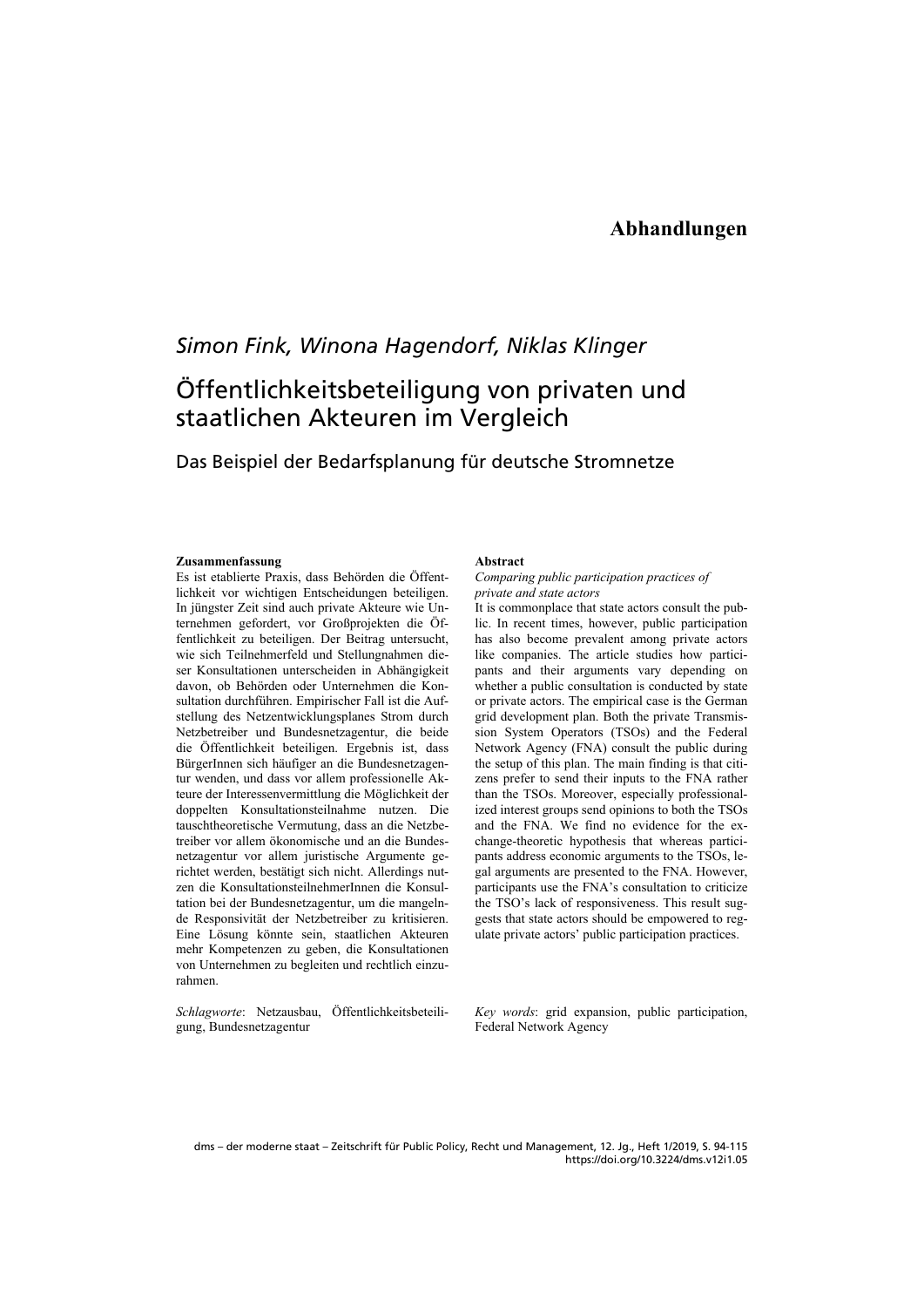### **Abhandlungen**

## *Simon Fink, Winona Hagendorf, Niklas Klinger*

# Öffentlichkeitsbeteiligung von privaten und staatlichen Akteuren im Vergleich

### Das Beispiel der Bedarfsplanung für deutsche Stromnetze

### **Zusammenfassung**

Es ist etablierte Praxis, dass Behörden die Öffentlichkeit vor wichtigen Entscheidungen beteiligen. In jüngster Zeit sind auch private Akteure wie Unternehmen gefordert, vor Großprojekten die Öffentlichkeit zu beteiligen. Der Beitrag untersucht, wie sich Teilnehmerfeld und Stellungnahmen dieser Konsultationen unterscheiden in Abhängigkeit davon, ob Behörden oder Unternehmen die Konsultation durchführen. Empirischer Fall ist die Aufstellung des Netzentwicklungsplanes Strom durch Netzbetreiber und Bundesnetzagentur, die beide die Öffentlichkeit beteiligen. Ergebnis ist, dass BürgerInnen sich häufiger an die Bundesnetzagentur wenden, und dass vor allem professionelle Akteure der Interessenvermittlung die Möglichkeit der doppelten Konsultationsteilnahme nutzen. Die tauschtheoretische Vermutung, dass an die Netzbetreiber vor allem ökonomische und an die Bundesnetzagentur vor allem juristische Argumente gerichtet werden, bestätigt sich nicht. Allerdings nutzen die KonsultationsteilnehmerInnen die Konsultation bei der Bundesnetzagentur, um die mangelnde Responsivität der Netzbetreiber zu kritisieren. Eine Lösung könnte sein, staatlichen Akteuren mehr Kompetenzen zu geben, die Konsultationen von Unternehmen zu begleiten und rechtlich einzurahmen.

*Schlagworte*: Netzausbau, Öffentlichkeitsbeteiligung, Bundesnetzagentur

#### **Abstract**

### *Comparing public participation practices of private and state actors*

It is commonplace that state actors consult the public. In recent times, however, public participation has also become prevalent among private actors like companies. The article studies how participants and their arguments vary depending on whether a public consultation is conducted by state or private actors. The empirical case is the German grid development plan. Both the private Transmission System Operators (TSOs) and the Federal Network Agency (FNA) consult the public during the setup of this plan. The main finding is that citizens prefer to send their inputs to the FNA rather than the TSOs. Moreover, especially professionalized interest groups send opinions to both the TSOs and the FNA. We find no evidence for the exchange-theoretic hypothesis that whereas participants address economic arguments to the TSOs, legal arguments are presented to the FNA. However, participants use the FNA's consultation to criticize the TSO's lack of responsiveness. This result suggests that state actors should be empowered to regulate private actors' public participation practices.

*Key words*: grid expansion, public participation, Federal Network Agency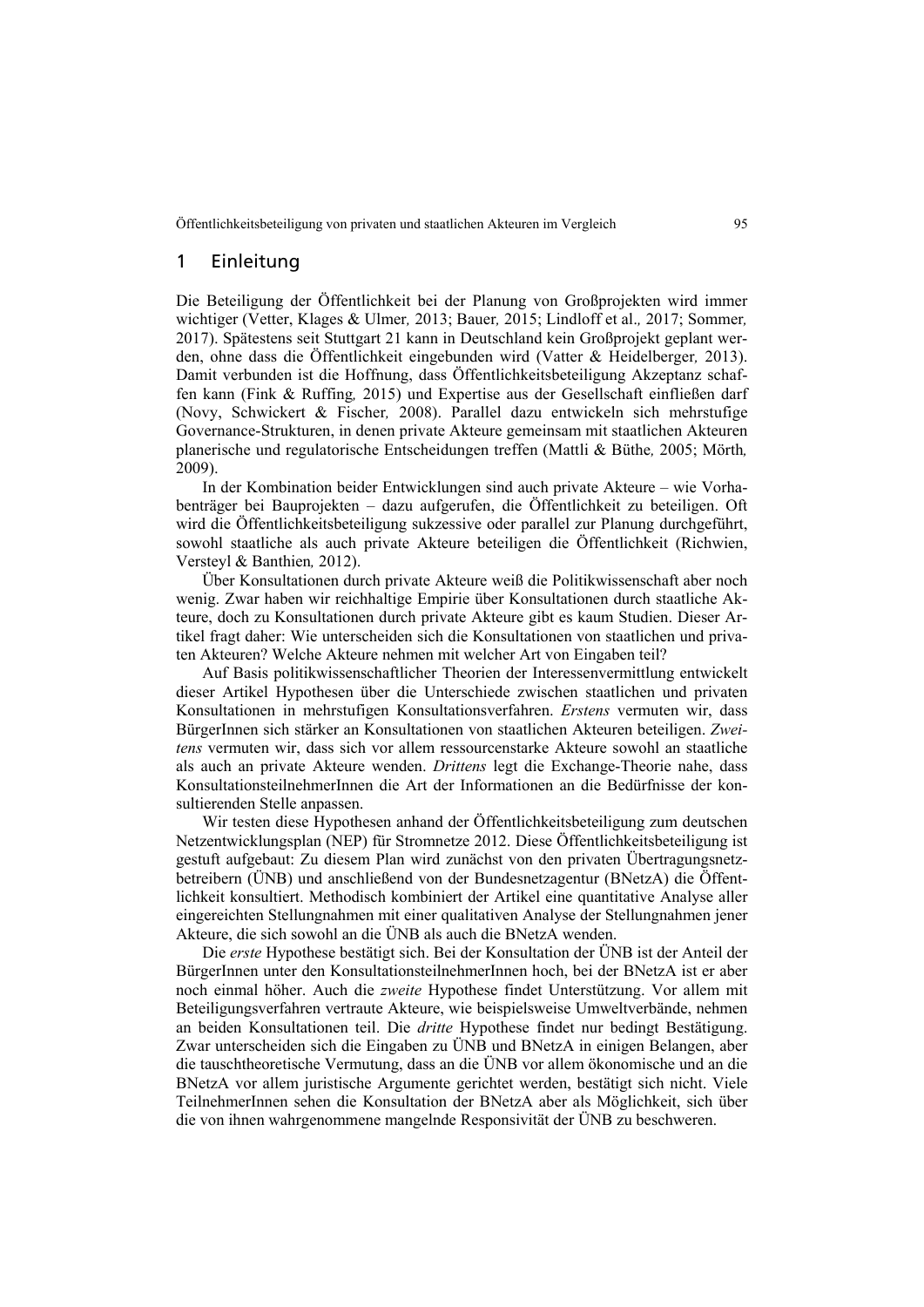### 1 Einleitung

Die Beteiligung der Öffentlichkeit bei der Planung von Großprojekten wird immer wichtiger (Vetter, Klages & Ulmer*,* 2013; Bauer*,* 2015; Lindloff et al.*,* 2017; Sommer*,*  2017). Spätestens seit Stuttgart 21 kann in Deutschland kein Großprojekt geplant werden, ohne dass die Öffentlichkeit eingebunden wird (Vatter & Heidelberger*,* 2013). Damit verbunden ist die Hoffnung, dass Öffentlichkeitsbeteiligung Akzeptanz schaffen kann (Fink & Ruffing*,* 2015) und Expertise aus der Gesellschaft einfließen darf (Novy, Schwickert & Fischer*,* 2008). Parallel dazu entwickeln sich mehrstufige Governance-Strukturen, in denen private Akteure gemeinsam mit staatlichen Akteuren planerische und regulatorische Entscheidungen treffen (Mattli & Büthe*,* 2005; Mörth*,*  2009).

In der Kombination beider Entwicklungen sind auch private Akteure – wie Vorhabenträger bei Bauprojekten – dazu aufgerufen, die Öffentlichkeit zu beteiligen. Oft wird die Öffentlichkeitsbeteiligung sukzessive oder parallel zur Planung durchgeführt, sowohl staatliche als auch private Akteure beteiligen die Öffentlichkeit (Richwien, Versteyl & Banthien*,* 2012).

Über Konsultationen durch private Akteure weiß die Politikwissenschaft aber noch wenig. Zwar haben wir reichhaltige Empirie über Konsultationen durch staatliche Akteure, doch zu Konsultationen durch private Akteure gibt es kaum Studien. Dieser Artikel fragt daher: Wie unterscheiden sich die Konsultationen von staatlichen und privaten Akteuren? Welche Akteure nehmen mit welcher Art von Eingaben teil?

Auf Basis politikwissenschaftlicher Theorien der Interessenvermittlung entwickelt dieser Artikel Hypothesen über die Unterschiede zwischen staatlichen und privaten Konsultationen in mehrstufigen Konsultationsverfahren. *Erstens* vermuten wir, dass BürgerInnen sich stärker an Konsultationen von staatlichen Akteuren beteiligen. *Zweitens* vermuten wir, dass sich vor allem ressourcenstarke Akteure sowohl an staatliche als auch an private Akteure wenden. *Drittens* legt die Exchange-Theorie nahe, dass KonsultationsteilnehmerInnen die Art der Informationen an die Bedürfnisse der konsultierenden Stelle anpassen.

Wir testen diese Hypothesen anhand der Öffentlichkeitsbeteiligung zum deutschen Netzentwicklungsplan (NEP) für Stromnetze 2012. Diese Öffentlichkeitsbeteiligung ist gestuft aufgebaut: Zu diesem Plan wird zunächst von den privaten Übertragungsnetzbetreibern (ÜNB) und anschließend von der Bundesnetzagentur (BNetzA) die Öffentlichkeit konsultiert. Methodisch kombiniert der Artikel eine quantitative Analyse aller eingereichten Stellungnahmen mit einer qualitativen Analyse der Stellungnahmen jener Akteure, die sich sowohl an die ÜNB als auch die BNetzA wenden.

Die *erste* Hypothese bestätigt sich. Bei der Konsultation der ÜNB ist der Anteil der BürgerInnen unter den KonsultationsteilnehmerInnen hoch, bei der BNetzA ist er aber noch einmal höher. Auch die *zweite* Hypothese findet Unterstützung. Vor allem mit Beteiligungsverfahren vertraute Akteure, wie beispielsweise Umweltverbände, nehmen an beiden Konsultationen teil. Die *dritte* Hypothese findet nur bedingt Bestätigung. Zwar unterscheiden sich die Eingaben zu ÜNB und BNetzA in einigen Belangen, aber die tauschtheoretische Vermutung, dass an die ÜNB vor allem ökonomische und an die BNetzA vor allem juristische Argumente gerichtet werden, bestätigt sich nicht. Viele TeilnehmerInnen sehen die Konsultation der BNetzA aber als Möglichkeit, sich über die von ihnen wahrgenommene mangelnde Responsivität der ÜNB zu beschweren.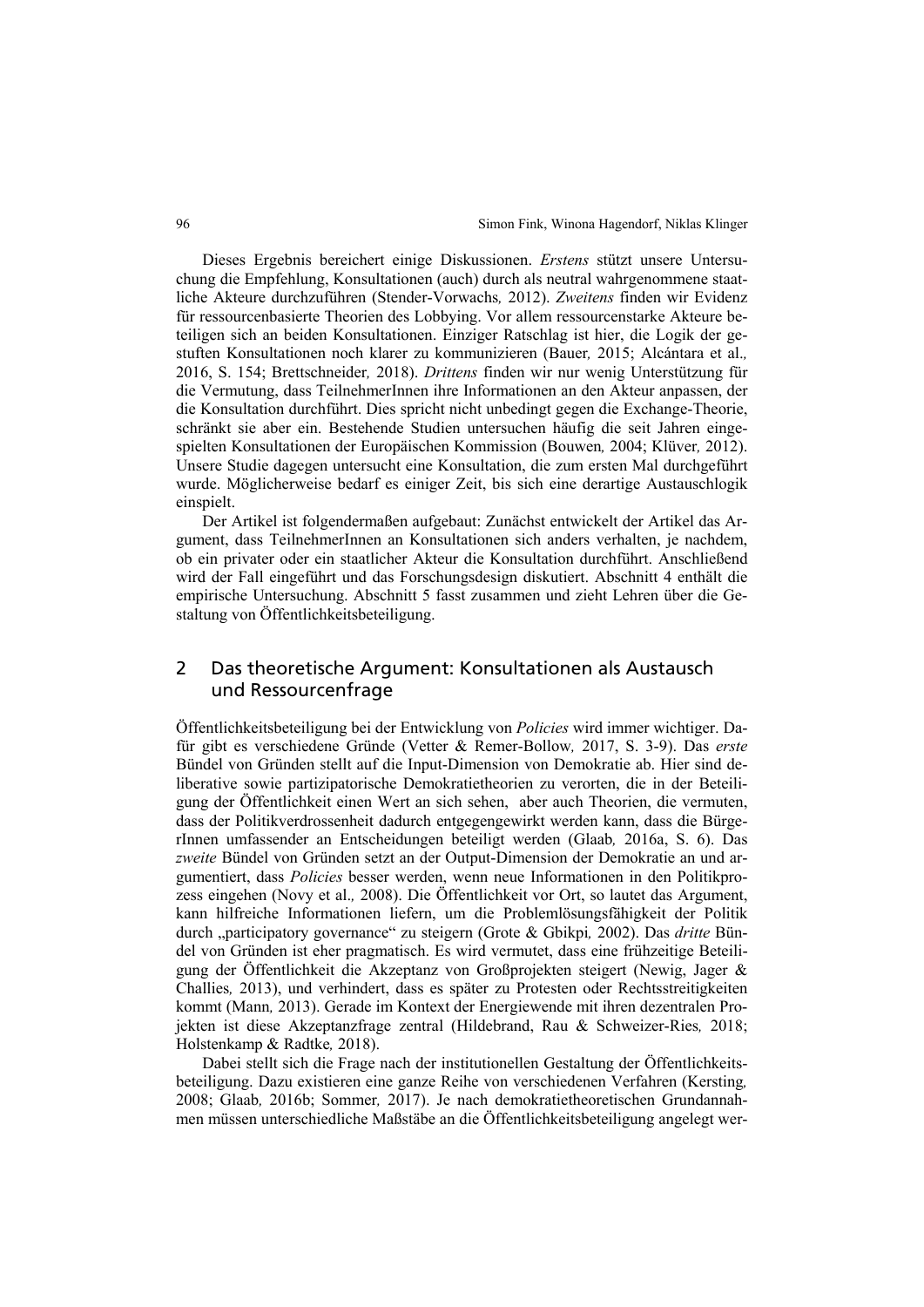Dieses Ergebnis bereichert einige Diskussionen. *Erstens* stützt unsere Untersuchung die Empfehlung, Konsultationen (auch) durch als neutral wahrgenommene staatliche Akteure durchzuführen (Stender-Vorwachs*,* 2012). *Zweitens* finden wir Evidenz für ressourcenbasierte Theorien des Lobbying. Vor allem ressourcenstarke Akteure beteiligen sich an beiden Konsultationen. Einziger Ratschlag ist hier, die Logik der gestuften Konsultationen noch klarer zu kommunizieren (Bauer*,* 2015; Alcántara et al.*,*  2016, S. 154; Brettschneider*,* 2018). *Drittens* finden wir nur wenig Unterstützung für die Vermutung, dass TeilnehmerInnen ihre Informationen an den Akteur anpassen, der die Konsultation durchführt. Dies spricht nicht unbedingt gegen die Exchange-Theorie, schränkt sie aber ein. Bestehende Studien untersuchen häufig die seit Jahren eingespielten Konsultationen der Europäischen Kommission (Bouwen*,* 2004; Klüver*,* 2012). Unsere Studie dagegen untersucht eine Konsultation, die zum ersten Mal durchgeführt wurde. Möglicherweise bedarf es einiger Zeit, bis sich eine derartige Austauschlogik einspielt.

Der Artikel ist folgendermaßen aufgebaut: Zunächst entwickelt der Artikel das Argument, dass TeilnehmerInnen an Konsultationen sich anders verhalten, je nachdem, ob ein privater oder ein staatlicher Akteur die Konsultation durchführt. Anschließend wird der Fall eingeführt und das Forschungsdesign diskutiert. Abschnitt 4 enthält die empirische Untersuchung. Abschnitt 5 fasst zusammen und zieht Lehren über die Gestaltung von Öffentlichkeitsbeteiligung.

### 2 Das theoretische Argument: Konsultationen als Austausch und Ressourcenfrage

Öffentlichkeitsbeteiligung bei der Entwicklung von *Policies* wird immer wichtiger. Dafür gibt es verschiedene Gründe (Vetter & Remer-Bollow*,* 2017, S. 3-9). Das *erste* Bündel von Gründen stellt auf die Input-Dimension von Demokratie ab. Hier sind deliberative sowie partizipatorische Demokratietheorien zu verorten, die in der Beteiligung der Öffentlichkeit einen Wert an sich sehen, aber auch Theorien, die vermuten, dass der Politikverdrossenheit dadurch entgegengewirkt werden kann, dass die BürgerInnen umfassender an Entscheidungen beteiligt werden (Glaab*,* 2016a, S. 6). Das *zweite* Bündel von Gründen setzt an der Output-Dimension der Demokratie an und argumentiert, dass *Policies* besser werden, wenn neue Informationen in den Politikprozess eingehen (Novy et al.*,* 2008). Die Öffentlichkeit vor Ort, so lautet das Argument, kann hilfreiche Informationen liefern, um die Problemlösungsfähigkeit der Politik durch "participatory governance" zu steigern (Grote & Gbikpi*,* 2002). Das *dritte* Bündel von Gründen ist eher pragmatisch. Es wird vermutet, dass eine frühzeitige Beteiligung der Öffentlichkeit die Akzeptanz von Großprojekten steigert (Newig, Jager & Challies*,* 2013), und verhindert, dass es später zu Protesten oder Rechtsstreitigkeiten kommt (Mann*,* 2013). Gerade im Kontext der Energiewende mit ihren dezentralen Projekten ist diese Akzeptanzfrage zentral (Hildebrand, Rau & Schweizer-Ries*,* 2018; Holstenkamp & Radtke*,* 2018).

Dabei stellt sich die Frage nach der institutionellen Gestaltung der Öffentlichkeitsbeteiligung. Dazu existieren eine ganze Reihe von verschiedenen Verfahren (Kersting*,*  2008; Glaab*,* 2016b; Sommer*,* 2017). Je nach demokratietheoretischen Grundannahmen müssen unterschiedliche Maßstäbe an die Öffentlichkeitsbeteiligung angelegt wer-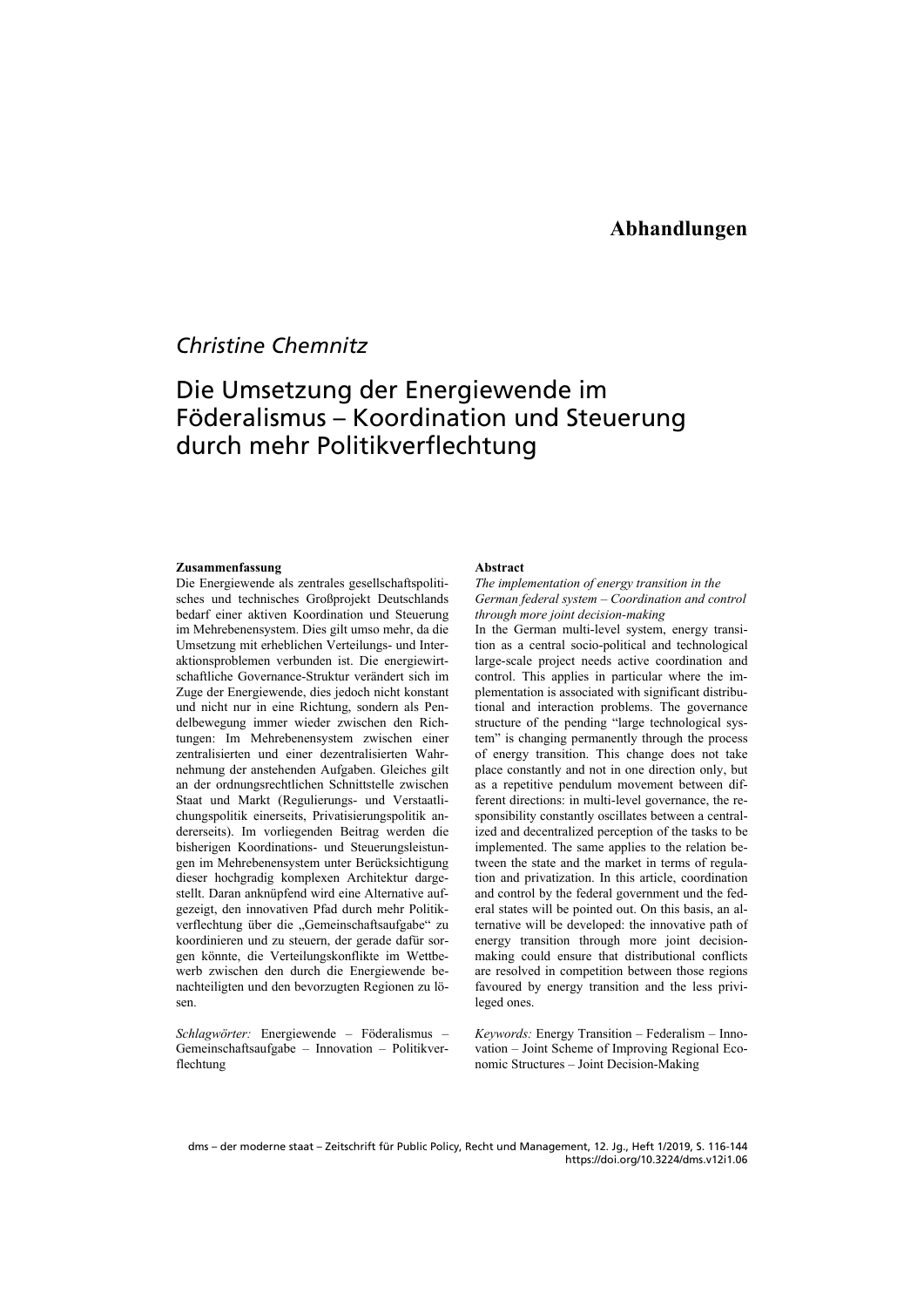## *Christine Chemnitz*

# Die Umsetzung der Energiewende im Föderalismus – Koordination und Steuerung durch mehr Politikverflechtung

#### **Zusammenfassung**

Die Energiewende als zentrales gesellschaftspolitisches und technisches Großprojekt Deutschlands bedarf einer aktiven Koordination und Steuerung im Mehrebenensystem. Dies gilt umso mehr, da die Umsetzung mit erheblichen Verteilungs- und Interaktionsproblemen verbunden ist. Die energiewirtschaftliche Governance-Struktur verändert sich im Zuge der Energiewende, dies jedoch nicht konstant und nicht nur in eine Richtung, sondern als Pendelbewegung immer wieder zwischen den Richtungen: Im Mehrebenensystem zwischen einer zentralisierten und einer dezentralisierten Wahrnehmung der anstehenden Aufgaben. Gleiches gilt an der ordnungsrechtlichen Schnittstelle zwischen Staat und Markt (Regulierungs- und Verstaatlichungspolitik einerseits, Privatisierungspolitik andererseits). Im vorliegenden Beitrag werden die bisherigen Koordinations- und Steuerungsleistungen im Mehrebenensystem unter Berücksichtigung dieser hochgradig komplexen Architektur dargestellt. Daran anknüpfend wird eine Alternative aufgezeigt, den innovativen Pfad durch mehr Politikverflechtung über die "Gemeinschaftsaufgabe" zu koordinieren und zu steuern, der gerade dafür sorgen könnte, die Verteilungskonflikte im Wettbewerb zwischen den durch die Energiewende benachteiligten und den bevorzugten Regionen zu lösen.

*Schlagwörter:* Energiewende – Föderalismus – Gemeinschaftsaufgabe – Innovation – Politikverflechtung

### **Abstract**

*The implementation of energy transition in the German federal system – Coordination and control through more joint decision-making* 

In the German multi-level system, energy transition as a central socio-political and technological large-scale project needs active coordination and control. This applies in particular where the implementation is associated with significant distributional and interaction problems. The governance structure of the pending "large technological system" is changing permanently through the process of energy transition. This change does not take place constantly and not in one direction only, but as a repetitive pendulum movement between different directions: in multi-level governance, the responsibility constantly oscillates between a centralized and decentralized perception of the tasks to be implemented. The same applies to the relation between the state and the market in terms of regulation and privatization. In this article, coordination and control by the federal government und the federal states will be pointed out. On this basis, an alternative will be developed: the innovative path of energy transition through more joint decisionmaking could ensure that distributional conflicts are resolved in competition between those regions favoured by energy transition and the less privileged ones.

*Keywords:* Energy Transition – Federalism – Innovation – Joint Scheme of Improving Regional Economic Structures – Joint Decision-Making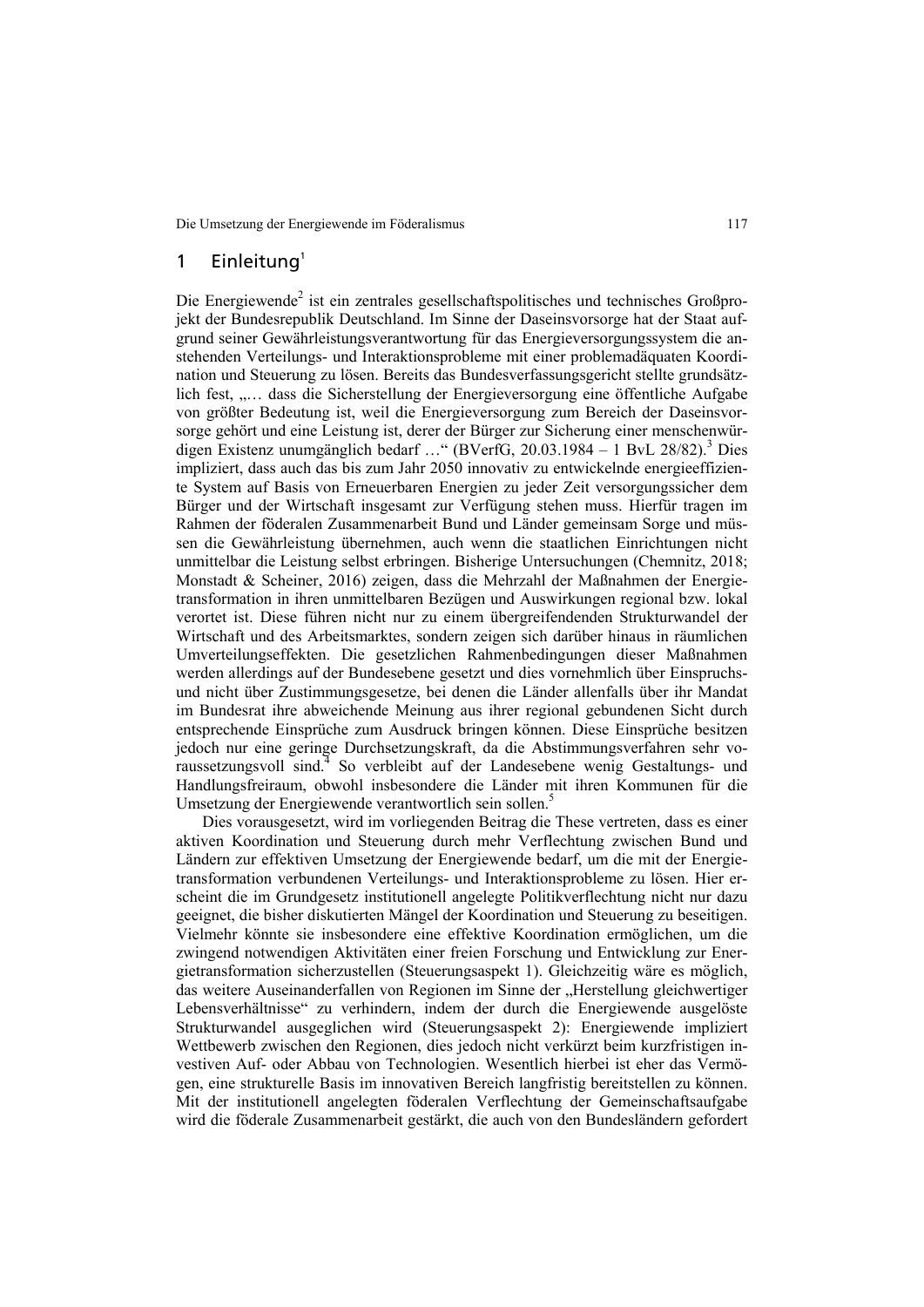### 1 Einleitung $1$

Die Energiewende<sup>2</sup> ist ein zentrales gesellschaftspolitisches und technisches Großprojekt der Bundesrepublik Deutschland. Im Sinne der Daseinsvorsorge hat der Staat aufgrund seiner Gewährleistungsverantwortung für das Energieversorgungssystem die anstehenden Verteilungs- und Interaktionsprobleme mit einer problemadäquaten Koordination und Steuerung zu lösen. Bereits das Bundesverfassungsgericht stellte grundsätzlich fest, ..... dass die Sicherstellung der Energieversorgung eine öffentliche Aufgabe von größter Bedeutung ist, weil die Energieversorgung zum Bereich der Daseinsvorsorge gehört und eine Leistung ist, derer der Bürger zur Sicherung einer menschenwürdigen Existenz unumgänglich bedarf ..." (BVerfG, 20.03.1984 - 1 BvL 28/82).<sup>3</sup> Dies impliziert, dass auch das bis zum Jahr 2050 innovativ zu entwickelnde energieeffiziente System auf Basis von Erneuerbaren Energien zu jeder Zeit versorgungssicher dem Bürger und der Wirtschaft insgesamt zur Verfügung stehen muss. Hierfür tragen im Rahmen der föderalen Zusammenarbeit Bund und Länder gemeinsam Sorge und müssen die Gewährleistung übernehmen, auch wenn die staatlichen Einrichtungen nicht unmittelbar die Leistung selbst erbringen. Bisherige Untersuchungen (Chemnitz, 2018; Monstadt & Scheiner, 2016) zeigen, dass die Mehrzahl der Maßnahmen der Energietransformation in ihren unmittelbaren Bezügen und Auswirkungen regional bzw. lokal verortet ist. Diese führen nicht nur zu einem übergreifendenden Strukturwandel der Wirtschaft und des Arbeitsmarktes, sondern zeigen sich darüber hinaus in räumlichen Umverteilungseffekten. Die gesetzlichen Rahmenbedingungen dieser Maßnahmen werden allerdings auf der Bundesebene gesetzt und dies vornehmlich über Einspruchsund nicht über Zustimmungsgesetze, bei denen die Länder allenfalls über ihr Mandat im Bundesrat ihre abweichende Meinung aus ihrer regional gebundenen Sicht durch entsprechende Einsprüche zum Ausdruck bringen können. Diese Einsprüche besitzen jedoch nur eine geringe Durchsetzungskraft, da die Abstimmungsverfahren sehr voraussetzungsvoll sind.<sup>4</sup> So verbleibt auf der Landesebene wenig Gestaltungs- und Handlungsfreiraum, obwohl insbesondere die Länder mit ihren Kommunen für die Umsetzung der Energiewende verantwortlich sein sollen.<sup>5</sup>

Dies vorausgesetzt, wird im vorliegenden Beitrag die These vertreten, dass es einer aktiven Koordination und Steuerung durch mehr Verflechtung zwischen Bund und Ländern zur effektiven Umsetzung der Energiewende bedarf, um die mit der Energietransformation verbundenen Verteilungs- und Interaktionsprobleme zu lösen. Hier erscheint die im Grundgesetz institutionell angelegte Politikverflechtung nicht nur dazu geeignet, die bisher diskutierten Mängel der Koordination und Steuerung zu beseitigen. Vielmehr könnte sie insbesondere eine effektive Koordination ermöglichen, um die zwingend notwendigen Aktivitäten einer freien Forschung und Entwicklung zur Energietransformation sicherzustellen (Steuerungsaspekt 1). Gleichzeitig wäre es möglich, das weitere Auseinanderfallen von Regionen im Sinne der "Herstellung gleichwertiger Lebensverhältnisse" zu verhindern, indem der durch die Energiewende ausgelöste Strukturwandel ausgeglichen wird (Steuerungsaspekt 2): Energiewende impliziert Wettbewerb zwischen den Regionen, dies jedoch nicht verkürzt beim kurzfristigen investiven Auf- oder Abbau von Technologien. Wesentlich hierbei ist eher das Vermögen, eine strukturelle Basis im innovativen Bereich langfristig bereitstellen zu können. Mit der institutionell angelegten föderalen Verflechtung der Gemeinschaftsaufgabe wird die föderale Zusammenarbeit gestärkt, die auch von den Bundesländern gefordert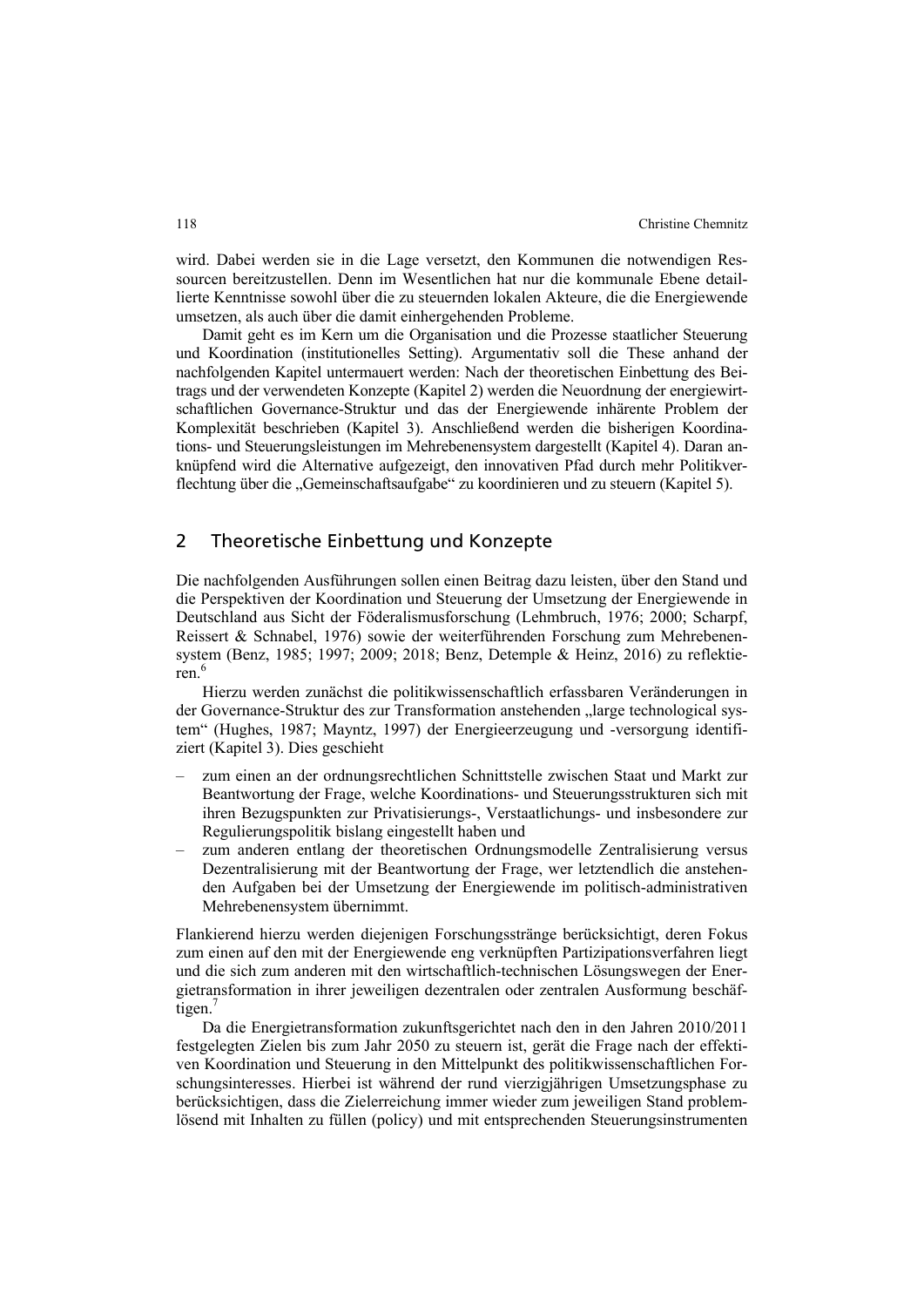wird. Dabei werden sie in die Lage versetzt, den Kommunen die notwendigen Ressourcen bereitzustellen. Denn im Wesentlichen hat nur die kommunale Ebene detaillierte Kenntnisse sowohl über die zu steuernden lokalen Akteure, die die Energiewende umsetzen, als auch über die damit einhergehenden Probleme.

Damit geht es im Kern um die Organisation und die Prozesse staatlicher Steuerung und Koordination (institutionelles Setting). Argumentativ soll die These anhand der nachfolgenden Kapitel untermauert werden: Nach der theoretischen Einbettung des Beitrags und der verwendeten Konzepte (Kapitel 2) werden die Neuordnung der energiewirtschaftlichen Governance-Struktur und das der Energiewende inhärente Problem der Komplexität beschrieben (Kapitel 3). Anschließend werden die bisherigen Koordinations- und Steuerungsleistungen im Mehrebenensystem dargestellt (Kapitel 4). Daran anknüpfend wird die Alternative aufgezeigt, den innovativen Pfad durch mehr Politikverflechtung über die "Gemeinschaftsaufgabe" zu koordinieren und zu steuern (Kapitel 5).

### 2 Theoretische Einbettung und Konzepte

Die nachfolgenden Ausführungen sollen einen Beitrag dazu leisten, über den Stand und die Perspektiven der Koordination und Steuerung der Umsetzung der Energiewende in Deutschland aus Sicht der Föderalismusforschung (Lehmbruch, 1976; 2000; Scharpf, Reissert & Schnabel, 1976) sowie der weiterführenden Forschung zum Mehrebenensystem (Benz, 1985; 1997; 2009; 2018; Benz, Detemple & Heinz, 2016) zu reflektieren $6$ 

Hierzu werden zunächst die politikwissenschaftlich erfassbaren Veränderungen in der Governance-Struktur des zur Transformation anstehenden "large technological system" (Hughes, 1987; Mayntz, 1997) der Energieerzeugung und -versorgung identifiziert (Kapitel 3). Dies geschieht

- ‒ zum einen an der ordnungsrechtlichen Schnittstelle zwischen Staat und Markt zur Beantwortung der Frage, welche Koordinations- und Steuerungsstrukturen sich mit ihren Bezugspunkten zur Privatisierungs-, Verstaatlichungs- und insbesondere zur Regulierungspolitik bislang eingestellt haben und
- ‒ zum anderen entlang der theoretischen Ordnungsmodelle Zentralisierung versus Dezentralisierung mit der Beantwortung der Frage, wer letztendlich die anstehenden Aufgaben bei der Umsetzung der Energiewende im politisch-administrativen Mehrebenensystem übernimmt.

Flankierend hierzu werden diejenigen Forschungsstränge berücksichtigt, deren Fokus zum einen auf den mit der Energiewende eng verknüpften Partizipationsverfahren liegt und die sich zum anderen mit den wirtschaftlich-technischen Lösungswegen der Energietransformation in ihrer jeweiligen dezentralen oder zentralen Ausformung beschäftigen.'

Da die Energietransformation zukunftsgerichtet nach den in den Jahren 2010/2011 festgelegten Zielen bis zum Jahr 2050 zu steuern ist, gerät die Frage nach der effektiven Koordination und Steuerung in den Mittelpunkt des politikwissenschaftlichen Forschungsinteresses. Hierbei ist während der rund vierzigjährigen Umsetzungsphase zu berücksichtigen, dass die Zielerreichung immer wieder zum jeweiligen Stand problemlösend mit Inhalten zu füllen (policy) und mit entsprechenden Steuerungsinstrumenten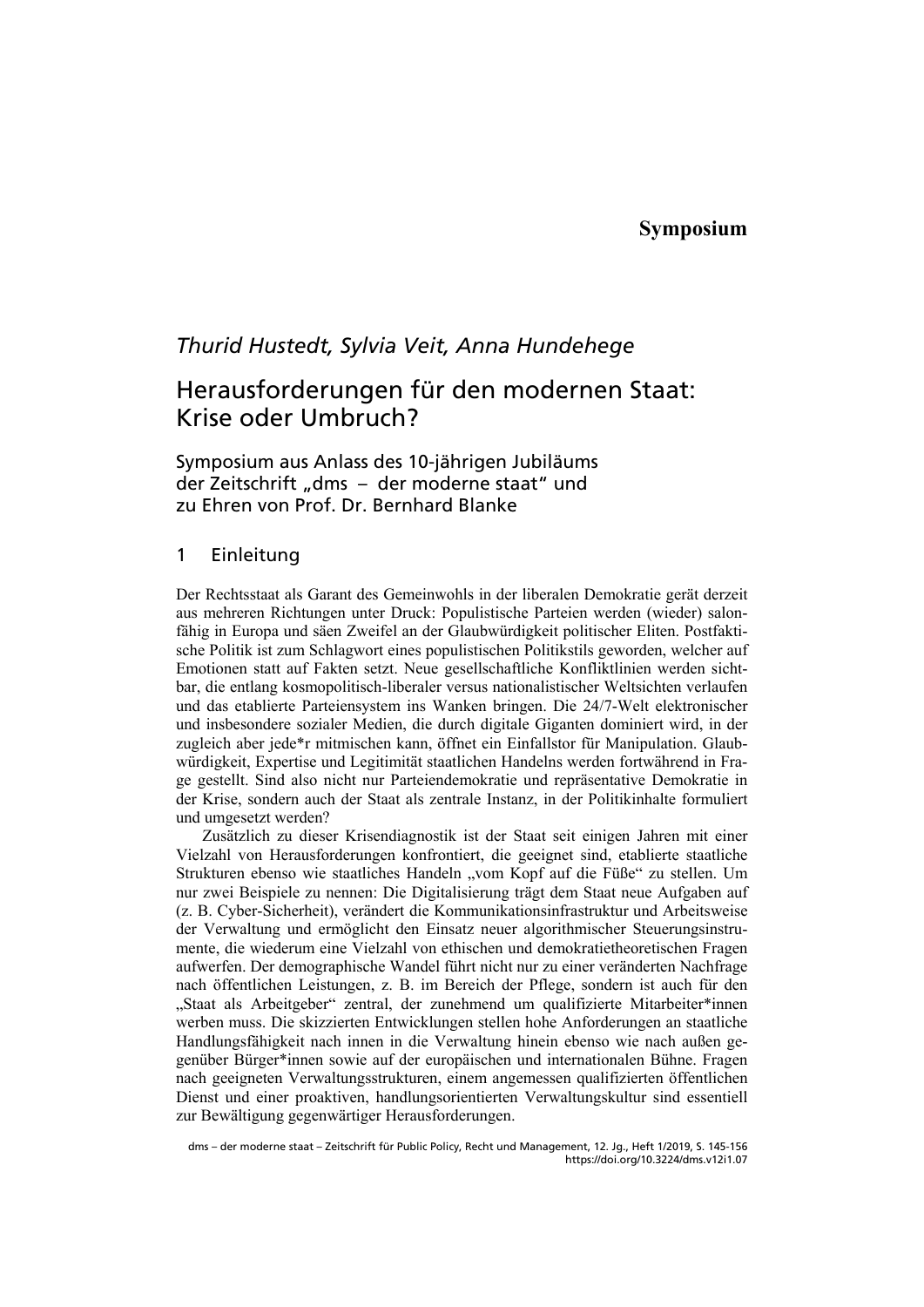## **Symposium**

## *Thurid Hustedt, Sylvia Veit, Anna Hundehege*

# Herausforderungen für den modernen Staat: Krise oder Umbruch?

### Symposium aus Anlass des 10-jährigen Jubiläums der Zeitschrift "dms – der moderne staat" und zu Ehren von Prof. Dr. Bernhard Blanke

### 1 Einleitung

Der Rechtsstaat als Garant des Gemeinwohls in der liberalen Demokratie gerät derzeit aus mehreren Richtungen unter Druck: Populistische Parteien werden (wieder) salonfähig in Europa und säen Zweifel an der Glaubwürdigkeit politischer Eliten. Postfaktische Politik ist zum Schlagwort eines populistischen Politikstils geworden, welcher auf Emotionen statt auf Fakten setzt. Neue gesellschaftliche Konfliktlinien werden sichtbar, die entlang kosmopolitisch-liberaler versus nationalistischer Weltsichten verlaufen und das etablierte Parteiensystem ins Wanken bringen. Die 24/7-Welt elektronischer und insbesondere sozialer Medien, die durch digitale Giganten dominiert wird, in der zugleich aber jede\*r mitmischen kann, öffnet ein Einfallstor für Manipulation. Glaubwürdigkeit, Expertise und Legitimität staatlichen Handelns werden fortwährend in Frage gestellt. Sind also nicht nur Parteiendemokratie und repräsentative Demokratie in der Krise, sondern auch der Staat als zentrale Instanz, in der Politikinhalte formuliert und umgesetzt werden?

Zusätzlich zu dieser Krisendiagnostik ist der Staat seit einigen Jahren mit einer Vielzahl von Herausforderungen konfrontiert, die geeignet sind, etablierte staatliche Strukturen ebenso wie staatliches Handeln "vom Kopf auf die Füße" zu stellen. Um nur zwei Beispiele zu nennen: Die Digitalisierung trägt dem Staat neue Aufgaben auf (z. B. Cyber-Sicherheit), verändert die Kommunikationsinfrastruktur und Arbeitsweise der Verwaltung und ermöglicht den Einsatz neuer algorithmischer Steuerungsinstrumente, die wiederum eine Vielzahl von ethischen und demokratietheoretischen Fragen aufwerfen. Der demographische Wandel führt nicht nur zu einer veränderten Nachfrage nach öffentlichen Leistungen, z. B. im Bereich der Pflege, sondern ist auch für den "Staat als Arbeitgeber" zentral, der zunehmend um qualifizierte Mitarbeiter\*innen werben muss. Die skizzierten Entwicklungen stellen hohe Anforderungen an staatliche Handlungsfähigkeit nach innen in die Verwaltung hinein ebenso wie nach außen gegenüber Bürger\*innen sowie auf der europäischen und internationalen Bühne. Fragen nach geeigneten Verwaltungsstrukturen, einem angemessen qualifizierten öffentlichen Dienst und einer proaktiven, handlungsorientierten Verwaltungskultur sind essentiell zur Bewältigung gegenwärtiger Herausforderungen.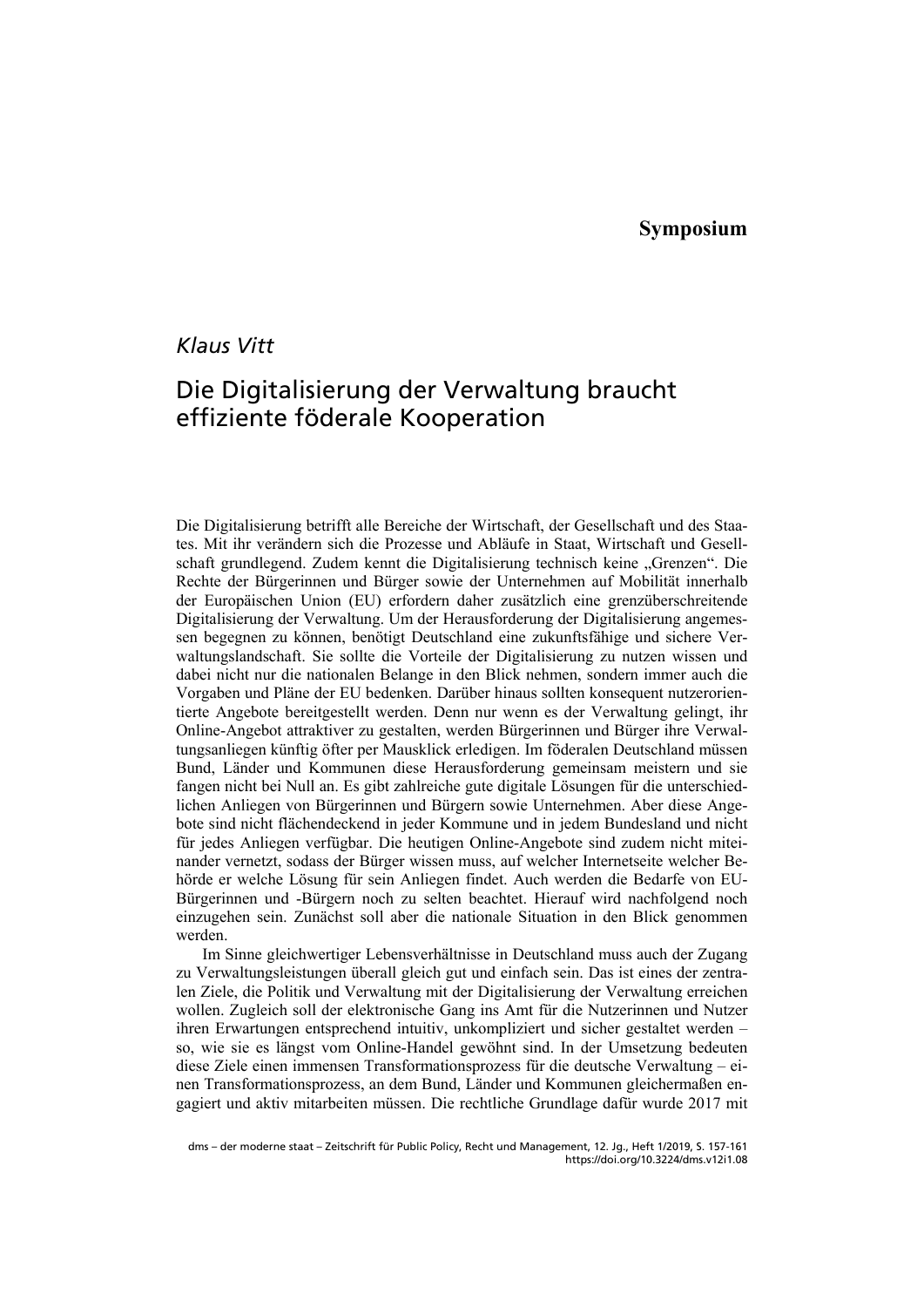## *Klaus Vitt*

# Die Digitalisierung der Verwaltung braucht effiziente föderale Kooperation

Die Digitalisierung betrifft alle Bereiche der Wirtschaft, der Gesellschaft und des Staates. Mit ihr verändern sich die Prozesse und Abläufe in Staat, Wirtschaft und Gesellschaft grundlegend. Zudem kennt die Digitalisierung technisch keine "Grenzen". Die Rechte der Bürgerinnen und Bürger sowie der Unternehmen auf Mobilität innerhalb der Europäischen Union (EU) erfordern daher zusätzlich eine grenzüberschreitende Digitalisierung der Verwaltung. Um der Herausforderung der Digitalisierung angemessen begegnen zu können, benötigt Deutschland eine zukunftsfähige und sichere Verwaltungslandschaft. Sie sollte die Vorteile der Digitalisierung zu nutzen wissen und dabei nicht nur die nationalen Belange in den Blick nehmen, sondern immer auch die Vorgaben und Pläne der EU bedenken. Darüber hinaus sollten konsequent nutzerorientierte Angebote bereitgestellt werden. Denn nur wenn es der Verwaltung gelingt, ihr Online-Angebot attraktiver zu gestalten, werden Bürgerinnen und Bürger ihre Verwaltungsanliegen künftig öfter per Mausklick erledigen. Im föderalen Deutschland müssen Bund, Länder und Kommunen diese Herausforderung gemeinsam meistern und sie fangen nicht bei Null an. Es gibt zahlreiche gute digitale Lösungen für die unterschiedlichen Anliegen von Bürgerinnen und Bürgern sowie Unternehmen. Aber diese Angebote sind nicht flächendeckend in jeder Kommune und in jedem Bundesland und nicht für jedes Anliegen verfügbar. Die heutigen Online-Angebote sind zudem nicht miteinander vernetzt, sodass der Bürger wissen muss, auf welcher Internetseite welcher Behörde er welche Lösung für sein Anliegen findet. Auch werden die Bedarfe von EU-Bürgerinnen und -Bürgern noch zu selten beachtet. Hierauf wird nachfolgend noch einzugehen sein. Zunächst soll aber die nationale Situation in den Blick genommen werden.

Im Sinne gleichwertiger Lebensverhältnisse in Deutschland muss auch der Zugang zu Verwaltungsleistungen überall gleich gut und einfach sein. Das ist eines der zentralen Ziele, die Politik und Verwaltung mit der Digitalisierung der Verwaltung erreichen wollen. Zugleich soll der elektronische Gang ins Amt für die Nutzerinnen und Nutzer ihren Erwartungen entsprechend intuitiv, unkompliziert und sicher gestaltet werden – so, wie sie es längst vom Online-Handel gewöhnt sind. In der Umsetzung bedeuten diese Ziele einen immensen Transformationsprozess für die deutsche Verwaltung – einen Transformationsprozess, an dem Bund, Länder und Kommunen gleichermaßen engagiert und aktiv mitarbeiten müssen. Die rechtliche Grundlage dafür wurde 2017 mit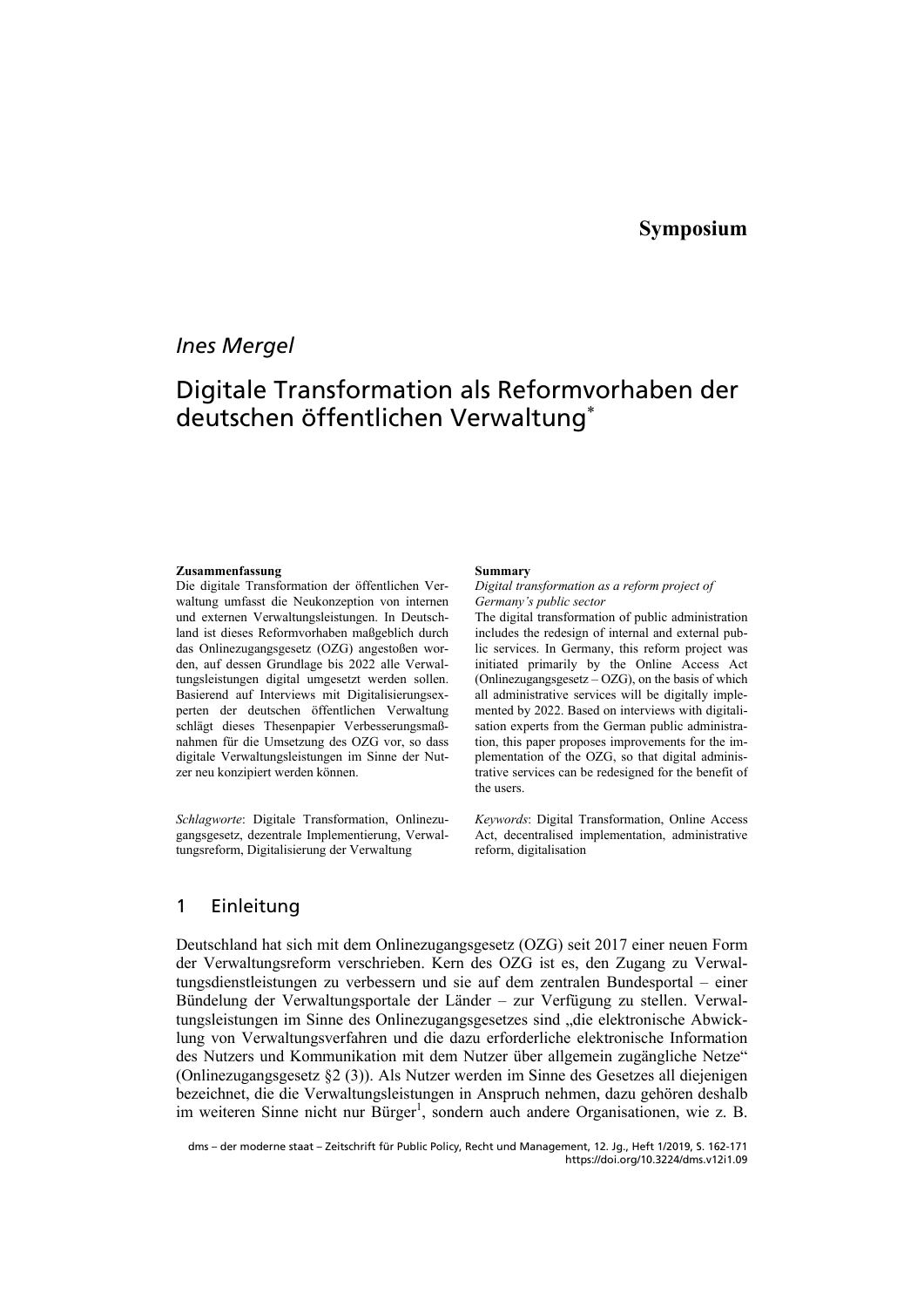## *Ines Mergel*

# Digitale Transformation als Reformvorhaben der deutschen öffentlichen Verwaltung

#### **Zusammenfassung**

Die digitale Transformation der öffentlichen Verwaltung umfasst die Neukonzeption von internen und externen Verwaltungsleistungen. In Deutschland ist dieses Reformvorhaben maßgeblich durch das Onlinezugangsgesetz (OZG) angestoßen worden, auf dessen Grundlage bis 2022 alle Verwaltungsleistungen digital umgesetzt werden sollen. Basierend auf Interviews mit Digitalisierungsexperten der deutschen öffentlichen Verwaltung schlägt dieses Thesenpapier Verbesserungsmaßnahmen für die Umsetzung des OZG vor, so dass digitale Verwaltungsleistungen im Sinne der Nutzer neu konzipiert werden können.

*Schlagworte*: Digitale Transformation, Onlinezugangsgesetz, dezentrale Implementierung, Verwaltungsreform, Digitalisierung der Verwaltung

#### **Summary**

*Digital transformation as a reform project of Germany's public sector* 

The digital transformation of public administration includes the redesign of internal and external public services. In Germany, this reform project was initiated primarily by the Online Access Act (Onlinezugangsgesetz  $-$  OZG), on the basis of which all administrative services will be digitally implemented by 2022. Based on interviews with digitalisation experts from the German public administration, this paper proposes improvements for the implementation of the OZG, so that digital administrative services can be redesigned for the benefit of the users.

*Keywords*: Digital Transformation, Online Access Act, decentralised implementation, administrative reform, digitalisation

### 1 Einleitung

Deutschland hat sich mit dem Onlinezugangsgesetz (OZG) seit 2017 einer neuen Form der Verwaltungsreform verschrieben. Kern des OZG ist es, den Zugang zu Verwaltungsdienstleistungen zu verbessern und sie auf dem zentralen Bundesportal – einer Bündelung der Verwaltungsportale der Länder - zur Verfügung zu stellen. Verwaltungsleistungen im Sinne des Onlinezugangsgesetzes sind "die elektronische Abwicklung von Verwaltungsverfahren und die dazu erforderliche elektronische Information des Nutzers und Kommunikation mit dem Nutzer über allgemein zugängliche Netze" (Onlinezugangsgesetz §2 (3)). Als Nutzer werden im Sinne des Gesetzes all diejenigen bezeichnet, die die Verwaltungsleistungen in Anspruch nehmen, dazu gehören deshalb im weiteren Sinne nicht nur Bürger<sup>1</sup>, sondern auch andere Organisationen, wie z. B.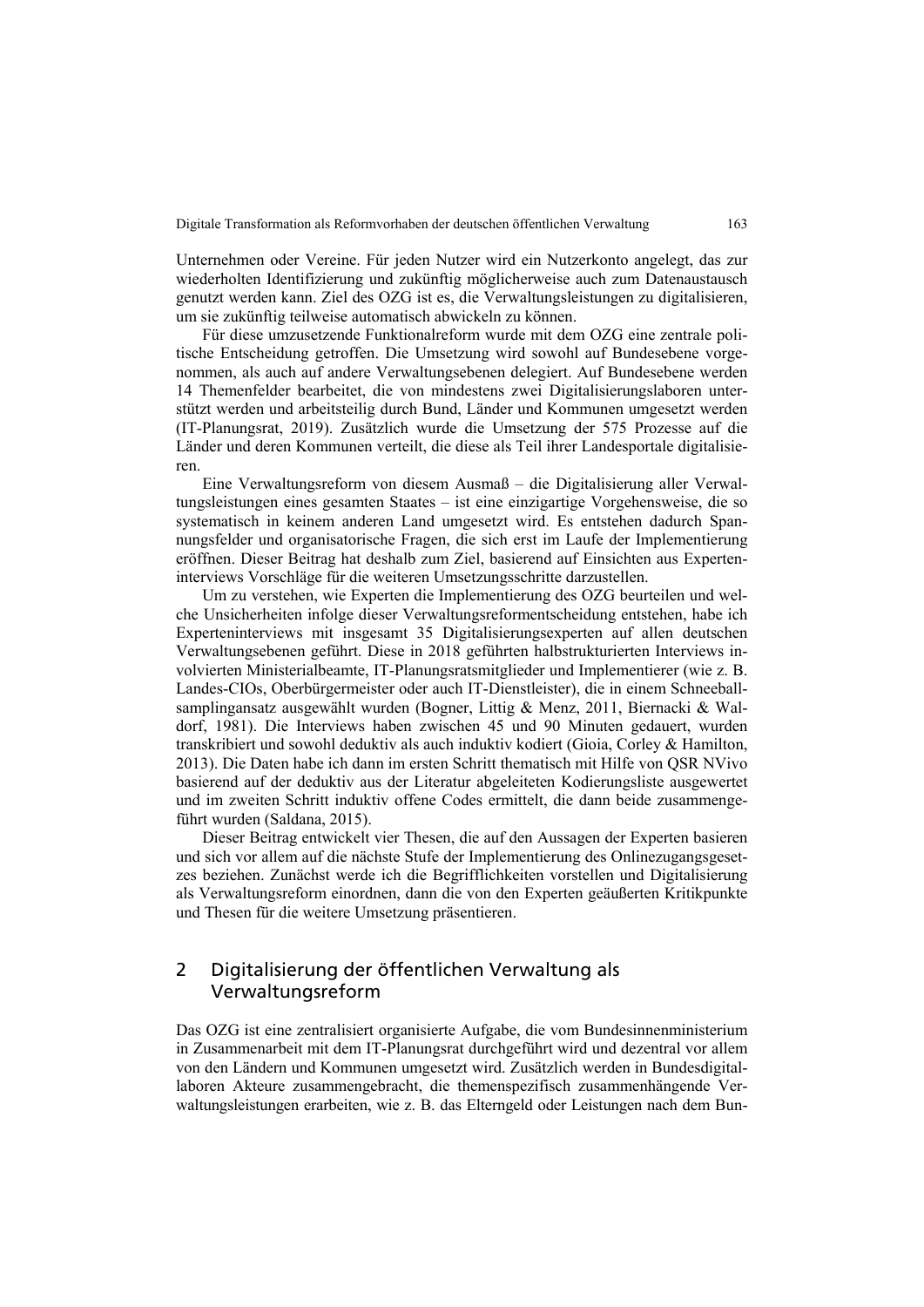Unternehmen oder Vereine. Für jeden Nutzer wird ein Nutzerkonto angelegt, das zur wiederholten Identifizierung und zukünftig möglicherweise auch zum Datenaustausch genutzt werden kann. Ziel des OZG ist es, die Verwaltungsleistungen zu digitalisieren, um sie zukünftig teilweise automatisch abwickeln zu können.

Für diese umzusetzende Funktionalreform wurde mit dem OZG eine zentrale politische Entscheidung getroffen. Die Umsetzung wird sowohl auf Bundesebene vorgenommen, als auch auf andere Verwaltungsebenen delegiert. Auf Bundesebene werden 14 Themenfelder bearbeitet, die von mindestens zwei Digitalisierungslaboren unterstützt werden und arbeitsteilig durch Bund, Länder und Kommunen umgesetzt werden (IT-Planungsrat, 2019). Zusätzlich wurde die Umsetzung der 575 Prozesse auf die Länder und deren Kommunen verteilt, die diese als Teil ihrer Landesportale digitalisieren.

Eine Verwaltungsreform von diesem Ausmaß – die Digitalisierung aller Verwaltungsleistungen eines gesamten Staates – ist eine einzigartige Vorgehensweise, die so systematisch in keinem anderen Land umgesetzt wird. Es entstehen dadurch Spannungsfelder und organisatorische Fragen, die sich erst im Laufe der Implementierung eröffnen. Dieser Beitrag hat deshalb zum Ziel, basierend auf Einsichten aus Experteninterviews Vorschläge für die weiteren Umsetzungsschritte darzustellen.

Um zu verstehen, wie Experten die Implementierung des OZG beurteilen und welche Unsicherheiten infolge dieser Verwaltungsreformentscheidung entstehen, habe ich Experteninterviews mit insgesamt 35 Digitalisierungsexperten auf allen deutschen Verwaltungsebenen geführt. Diese in 2018 geführten halbstrukturierten Interviews involvierten Ministerialbeamte, IT-Planungsratsmitglieder und Implementierer (wie z. B. Landes-CIOs, Oberbürgermeister oder auch IT-Dienstleister), die in einem Schneeballsamplingansatz ausgewählt wurden (Bogner, Littig & Menz, 2011, Biernacki & Waldorf, 1981). Die Interviews haben zwischen 45 und 90 Minuten gedauert, wurden transkribiert und sowohl deduktiv als auch induktiv kodiert (Gioia, Corley & Hamilton, 2013). Die Daten habe ich dann im ersten Schritt thematisch mit Hilfe von QSR NVivo basierend auf der deduktiv aus der Literatur abgeleiteten Kodierungsliste ausgewertet und im zweiten Schritt induktiv offene Codes ermittelt, die dann beide zusammengeführt wurden (Saldana, 2015).

Dieser Beitrag entwickelt vier Thesen, die auf den Aussagen der Experten basieren und sich vor allem auf die nächste Stufe der Implementierung des Onlinezugangsgesetzes beziehen. Zunächst werde ich die Begrifflichkeiten vorstellen und Digitalisierung als Verwaltungsreform einordnen, dann die von den Experten geäußerten Kritikpunkte und Thesen für die weitere Umsetzung präsentieren.

### 2 Digitalisierung der öffentlichen Verwaltung als Verwaltungsreform

Das OZG ist eine zentralisiert organisierte Aufgabe, die vom Bundesinnenministerium in Zusammenarbeit mit dem IT-Planungsrat durchgeführt wird und dezentral vor allem von den Ländern und Kommunen umgesetzt wird. Zusätzlich werden in Bundesdigitallaboren Akteure zusammengebracht, die themenspezifisch zusammenhängende Verwaltungsleistungen erarbeiten, wie z. B. das Elterngeld oder Leistungen nach dem Bun-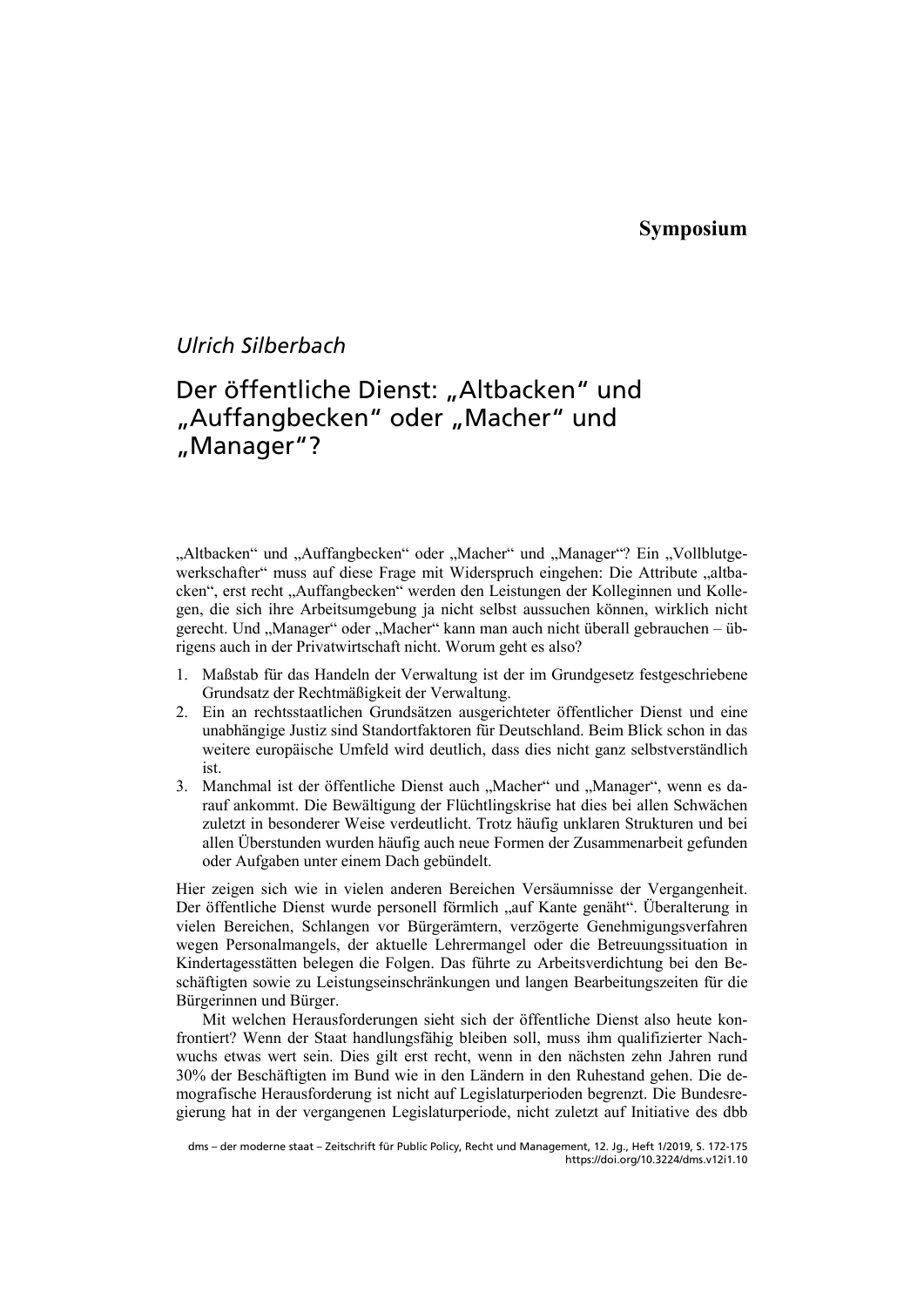# *Ulrich Silberbach*

# Der öffentliche Dienst: "Altbacken" und "Auffangbecken" oder "Macher" und "Manager"?

"Altbacken" und "Auffangbecken" oder "Macher" und "Manager"? Ein "Vollblutgewerkschafter" muss auf diese Frage mit Widerspruch eingehen: Die Attribute "altbacken", erst recht "Auffangbecken" werden den Leistungen der Kolleginnen und Kollegen, die sich ihre Arbeitsumgebung ja nicht selbst aussuchen können, wirklich nicht gerecht. Und "Manager" oder "Macher" kann man auch nicht überall gebrauchen – übrigens auch in der Privatwirtschaft nicht. Worum geht es also?

- 1. Maßstab für das Handeln der Verwaltung ist der im Grundgesetz festgeschriebene Grundsatz der Rechtmäßigkeit der Verwaltung.
- 2. Ein an rechtsstaatlichen Grundsätzen ausgerichteter öffentlicher Dienst und eine unabhängige Justiz sind Standortfaktoren für Deutschland. Beim Blick schon in das weitere europäische Umfeld wird deutlich, dass dies nicht ganz selbstverständlich ist.
- 3. Manchmal ist der öffentliche Dienst auch "Macher" und "Manager", wenn es darauf ankommt. Die Bewältigung der Flüchtlingskrise hat dies bei allen Schwächen zuletzt in besonderer Weise verdeutlicht. Trotz häufig unklaren Strukturen und bei allen Überstunden wurden häufig auch neue Formen der Zusammenarbeit gefunden oder Aufgaben unter einem Dach gebündelt.

Hier zeigen sich wie in vielen anderen Bereichen Versäumnisse der Vergangenheit. Der öffentliche Dienst wurde personell förmlich "auf Kante genäht". Überalterung in vielen Bereichen, Schlangen vor Bürgerämtern, verzögerte Genehmigungsverfahren wegen Personalmangels, der aktuelle Lehrermangel oder die Betreuungssituation in Kindertagesstätten belegen die Folgen. Das führte zu Arbeitsverdichtung bei den Beschäftigten sowie zu Leistungseinschränkungen und langen Bearbeitungszeiten für die Bürgerinnen und Bürger.

Mit welchen Herausforderungen sieht sich der öffentliche Dienst also heute konfrontiert? Wenn der Staat handlungsfähig bleiben soll, muss ihm qualifizierter Nachwuchs etwas wert sein. Dies gilt erst recht, wenn in den nächsten zehn Jahren rund 30% der Beschäftigten im Bund wie in den Ländern in den Ruhestand gehen. Die demografische Herausforderung ist nicht auf Legislaturperioden begrenzt. Die Bundesregierung hat in der vergangenen Legislaturperiode, nicht zuletzt auf Initiative des dbb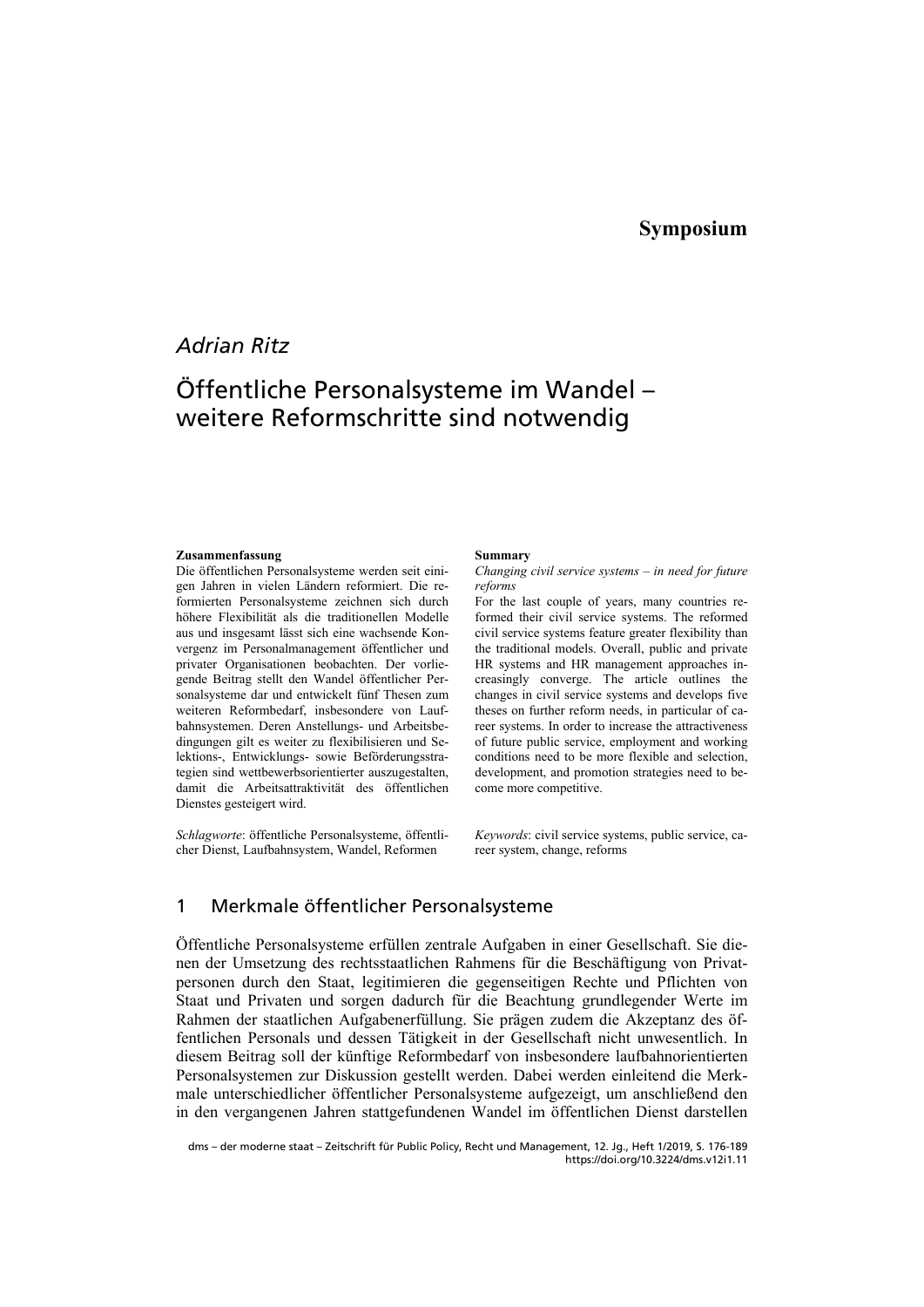## *Adrian Ritz*

# Öffentliche Personalsysteme im Wandel – weitere Reformschritte sind notwendig

### **Zusammenfassung**

Die öffentlichen Personalsysteme werden seit einigen Jahren in vielen Ländern reformiert. Die reformierten Personalsysteme zeichnen sich durch höhere Flexibilität als die traditionellen Modelle aus und insgesamt lässt sich eine wachsende Konvergenz im Personalmanagement öffentlicher und privater Organisationen beobachten. Der vorliegende Beitrag stellt den Wandel öffentlicher Personalsysteme dar und entwickelt fünf Thesen zum weiteren Reformbedarf, insbesondere von Laufbahnsystemen. Deren Anstellungs- und Arbeitsbedingungen gilt es weiter zu flexibilisieren und Selektions-, Entwicklungs- sowie Beförderungsstrategien sind wettbewerbsorientierter auszugestalten, damit die Arbeitsattraktivität des öffentlichen Dienstes gesteigert wird.

*Schlagworte*: öffentliche Personalsysteme, öffentlicher Dienst, Laufbahnsystem, Wandel, Reformen

#### **Summary**

*Changing civil service systems – in need for future reforms* 

For the last couple of years, many countries reformed their civil service systems. The reformed civil service systems feature greater flexibility than the traditional models. Overall, public and private HR systems and HR management approaches increasingly converge. The article outlines the changes in civil service systems and develops five theses on further reform needs, in particular of career systems. In order to increase the attractiveness of future public service, employment and working conditions need to be more flexible and selection, development, and promotion strategies need to become more competitive.

*Keywords*: civil service systems, public service, career system, change, reforms

### 1 Merkmale öffentlicher Personalsysteme

Öffentliche Personalsysteme erfüllen zentrale Aufgaben in einer Gesellschaft. Sie dienen der Umsetzung des rechtsstaatlichen Rahmens für die Beschäftigung von Privatpersonen durch den Staat, legitimieren die gegenseitigen Rechte und Pflichten von Staat und Privaten und sorgen dadurch für die Beachtung grundlegender Werte im Rahmen der staatlichen Aufgabenerfüllung. Sie prägen zudem die Akzeptanz des öffentlichen Personals und dessen Tätigkeit in der Gesellschaft nicht unwesentlich. In diesem Beitrag soll der künftige Reformbedarf von insbesondere laufbahnorientierten Personalsystemen zur Diskussion gestellt werden. Dabei werden einleitend die Merkmale unterschiedlicher öffentlicher Personalsysteme aufgezeigt, um anschließend den in den vergangenen Jahren stattgefundenen Wandel im öffentlichen Dienst darstellen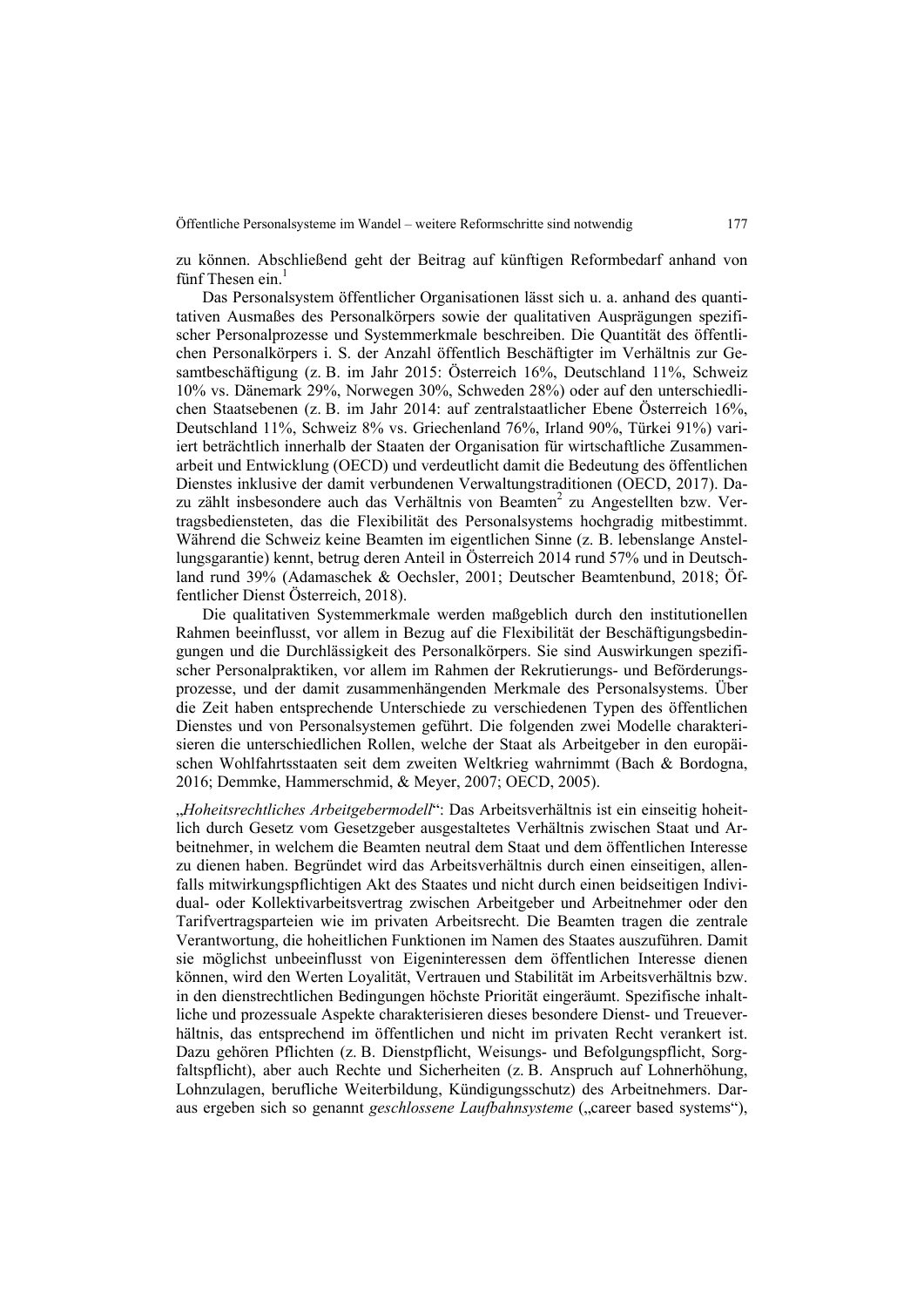zu können. Abschließend geht der Beitrag auf künftigen Reformbedarf anhand von fünf Thesen ein. $^1$ 

Das Personalsystem öffentlicher Organisationen lässt sich u. a. anhand des quantitativen Ausmaßes des Personalkörpers sowie der qualitativen Ausprägungen spezifischer Personalprozesse und Systemmerkmale beschreiben. Die Quantität des öffentlichen Personalkörpers i. S. der Anzahl öffentlich Beschäftigter im Verhältnis zur Gesamtbeschäftigung (z. B. im Jahr 2015: Österreich 16%, Deutschland 11%, Schweiz 10% vs. Dänemark 29%, Norwegen 30%, Schweden 28%) oder auf den unterschiedlichen Staatsebenen (z. B. im Jahr 2014: auf zentralstaatlicher Ebene Österreich 16%, Deutschland 11%, Schweiz 8% vs. Griechenland 76%, Irland 90%, Türkei 91%) variiert beträchtlich innerhalb der Staaten der Organisation für wirtschaftliche Zusammenarbeit und Entwicklung (OECD) und verdeutlicht damit die Bedeutung des öffentlichen Dienstes inklusive der damit verbundenen Verwaltungstraditionen (OECD, 2017). Dazu zählt insbesondere auch das Verhältnis von Beamten<sup>2</sup> zu Angestellten bzw. Vertragsbediensteten, das die Flexibilität des Personalsystems hochgradig mitbestimmt. Während die Schweiz keine Beamten im eigentlichen Sinne (z. B. lebenslange Anstellungsgarantie) kennt, betrug deren Anteil in Österreich 2014 rund 57% und in Deutschland rund 39% (Adamaschek & Oechsler, 2001; Deutscher Beamtenbund, 2018; Öffentlicher Dienst Österreich, 2018).

Die qualitativen Systemmerkmale werden maßgeblich durch den institutionellen Rahmen beeinflusst, vor allem in Bezug auf die Flexibilität der Beschäftigungsbedingungen und die Durchlässigkeit des Personalkörpers. Sie sind Auswirkungen spezifischer Personalpraktiken, vor allem im Rahmen der Rekrutierungs- und Beförderungsprozesse, und der damit zusammenhängenden Merkmale des Personalsystems. Über die Zeit haben entsprechende Unterschiede zu verschiedenen Typen des öffentlichen Dienstes und von Personalsystemen geführt. Die folgenden zwei Modelle charakterisieren die unterschiedlichen Rollen, welche der Staat als Arbeitgeber in den europäischen Wohlfahrtsstaaten seit dem zweiten Weltkrieg wahrnimmt (Bach & Bordogna, 2016; Demmke, Hammerschmid, & Meyer, 2007; OECD, 2005).

"*Hoheitsrechtliches Arbeitgebermodell*": Das Arbeitsverhältnis ist ein einseitig hoheitlich durch Gesetz vom Gesetzgeber ausgestaltetes Verhältnis zwischen Staat und Arbeitnehmer, in welchem die Beamten neutral dem Staat und dem öffentlichen Interesse zu dienen haben. Begründet wird das Arbeitsverhältnis durch einen einseitigen, allenfalls mitwirkungspflichtigen Akt des Staates und nicht durch einen beidseitigen Individual- oder Kollektivarbeitsvertrag zwischen Arbeitgeber und Arbeitnehmer oder den Tarifvertragsparteien wie im privaten Arbeitsrecht. Die Beamten tragen die zentrale Verantwortung, die hoheitlichen Funktionen im Namen des Staates auszuführen. Damit sie möglichst unbeeinflusst von Eigeninteressen dem öffentlichen Interesse dienen können, wird den Werten Loyalität, Vertrauen und Stabilität im Arbeitsverhältnis bzw. in den dienstrechtlichen Bedingungen höchste Priorität eingeräumt. Spezifische inhaltliche und prozessuale Aspekte charakterisieren dieses besondere Dienst- und Treueverhältnis, das entsprechend im öffentlichen und nicht im privaten Recht verankert ist. Dazu gehören Pflichten (z. B. Dienstpflicht, Weisungs- und Befolgungspflicht, Sorgfaltspflicht), aber auch Rechte und Sicherheiten (z. B. Anspruch auf Lohnerhöhung, Lohnzulagen, berufliche Weiterbildung, Kündigungsschutz) des Arbeitnehmers. Daraus ergeben sich so genannt *geschlossene Laufbahnsysteme* ("career based systems"),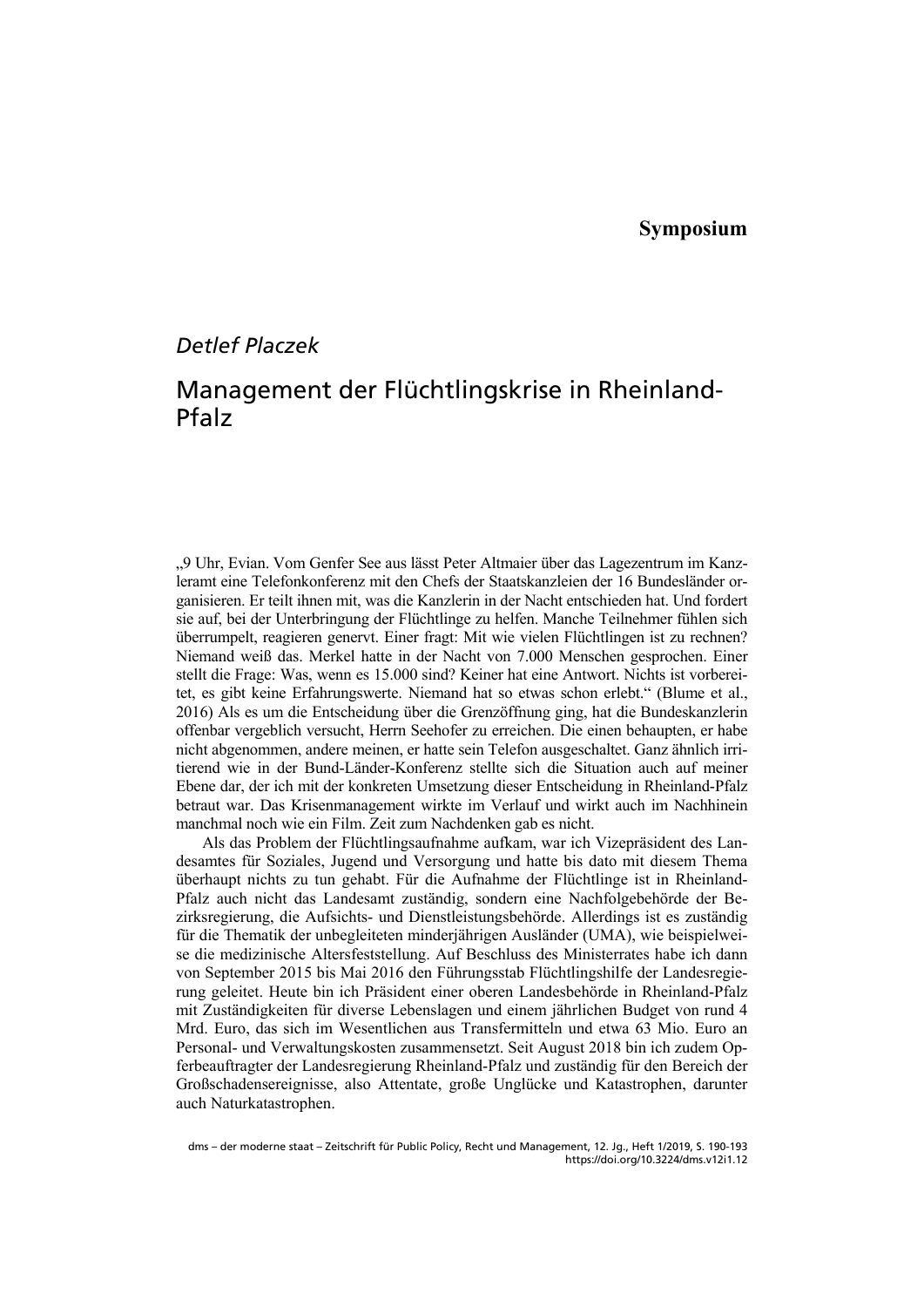# *Detlef Placzek*

# Management der Flüchtlingskrise in Rheinland-Pfalz

"9 Uhr, Evian. Vom Genfer See aus lässt Peter Altmaier über das Lagezentrum im Kanzleramt eine Telefonkonferenz mit den Chefs der Staatskanzleien der 16 Bundesländer organisieren. Er teilt ihnen mit, was die Kanzlerin in der Nacht entschieden hat. Und fordert sie auf, bei der Unterbringung der Flüchtlinge zu helfen. Manche Teilnehmer fühlen sich überrumpelt, reagieren genervt. Einer fragt: Mit wie vielen Flüchtlingen ist zu rechnen? Niemand weiß das. Merkel hatte in der Nacht von 7.000 Menschen gesprochen. Einer stellt die Frage: Was, wenn es 15.000 sind? Keiner hat eine Antwort. Nichts ist vorbereitet, es gibt keine Erfahrungswerte. Niemand hat so etwas schon erlebt." (Blume et al., 2016) Als es um die Entscheidung über die Grenzöffnung ging, hat die Bundeskanzlerin offenbar vergeblich versucht, Herrn Seehofer zu erreichen. Die einen behaupten, er habe nicht abgenommen, andere meinen, er hatte sein Telefon ausgeschaltet. Ganz ähnlich irritierend wie in der Bund-Länder-Konferenz stellte sich die Situation auch auf meiner Ebene dar, der ich mit der konkreten Umsetzung dieser Entscheidung in Rheinland-Pfalz betraut war. Das Krisenmanagement wirkte im Verlauf und wirkt auch im Nachhinein manchmal noch wie ein Film. Zeit zum Nachdenken gab es nicht.

Als das Problem der Flüchtlingsaufnahme aufkam, war ich Vizepräsident des Landesamtes für Soziales, Jugend und Versorgung und hatte bis dato mit diesem Thema überhaupt nichts zu tun gehabt. Für die Aufnahme der Flüchtlinge ist in Rheinland-Pfalz auch nicht das Landesamt zuständig, sondern eine Nachfolgebehörde der Bezirksregierung, die Aufsichts- und Dienstleistungsbehörde. Allerdings ist es zuständig für die Thematik der unbegleiteten minderjährigen Ausländer (UMA), wie beispielweise die medizinische Altersfeststellung. Auf Beschluss des Ministerrates habe ich dann von September 2015 bis Mai 2016 den Führungsstab Flüchtlingshilfe der Landesregierung geleitet. Heute bin ich Präsident einer oberen Landesbehörde in Rheinland-Pfalz mit Zuständigkeiten für diverse Lebenslagen und einem jährlichen Budget von rund 4 Mrd. Euro, das sich im Wesentlichen aus Transfermitteln und etwa 63 Mio. Euro an Personal- und Verwaltungskosten zusammensetzt. Seit August 2018 bin ich zudem Opferbeauftragter der Landesregierung Rheinland-Pfalz und zuständig für den Bereich der Großschadensereignisse, also Attentate, große Unglücke und Katastrophen, darunter auch Naturkatastrophen.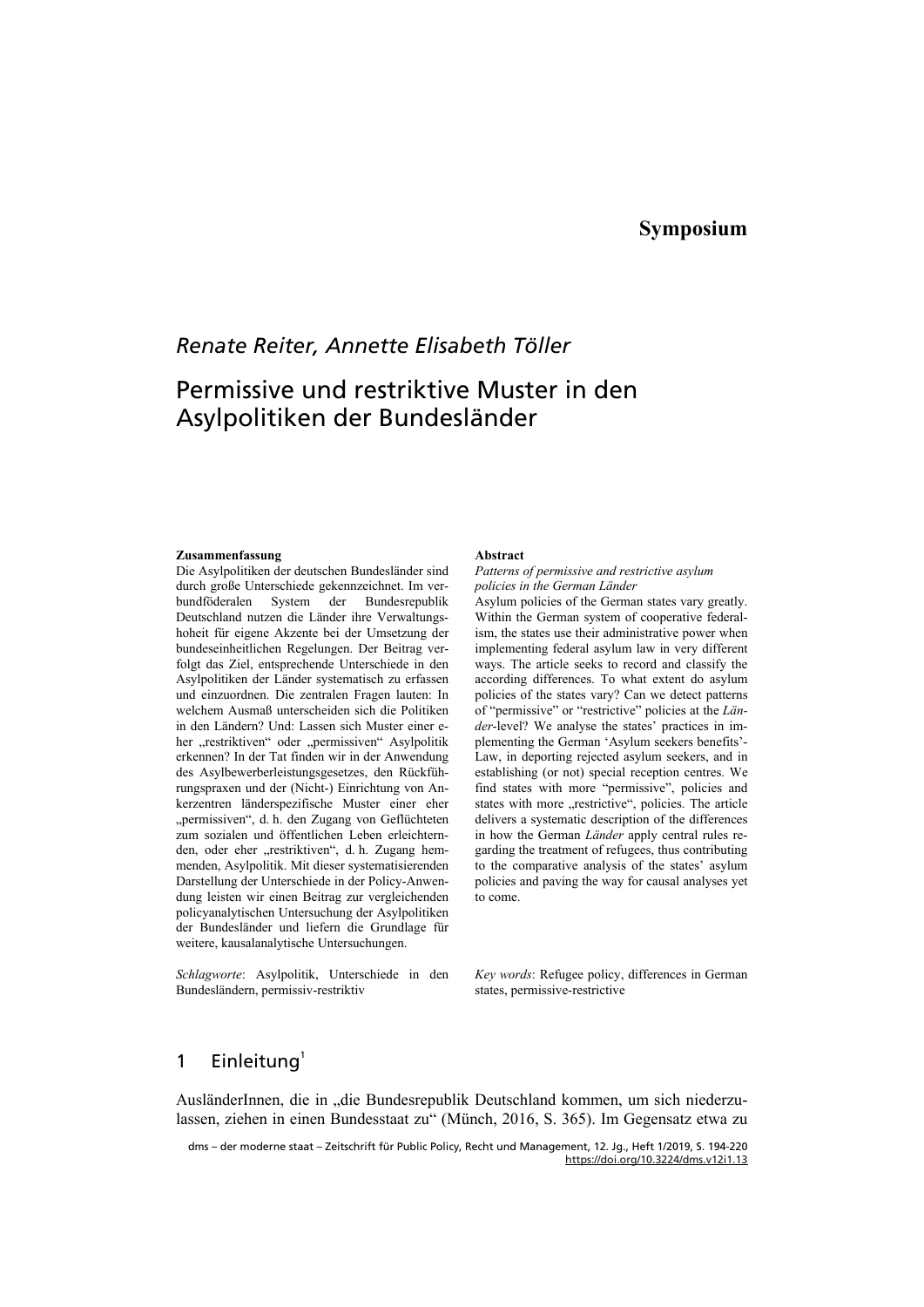## **Symposium**

## *Renate Reiter, Annette Elisabeth Töller*

# Permissive und restriktive Muster in den Asylpolitiken der Bundesländer

#### **Zusammenfassung**

Die Asylpolitiken der deutschen Bundesländer sind durch große Unterschiede gekennzeichnet. Im verbundföderalen System der Bundesrepublik Deutschland nutzen die Länder ihre Verwaltungshoheit für eigene Akzente bei der Umsetzung der bundeseinheitlichen Regelungen. Der Beitrag verfolgt das Ziel, entsprechende Unterschiede in den Asylpolitiken der Länder systematisch zu erfassen und einzuordnen. Die zentralen Fragen lauten: In welchem Ausmaß unterscheiden sich die Politiken in den Ländern? Und: Lassen sich Muster einer eher "restriktiven" oder "permissiven" Asylpolitik erkennen? In der Tat finden wir in der Anwendung des Asylbewerberleistungsgesetzes, den Rückführungspraxen und der (Nicht-) Einrichtung von Ankerzentren länderspezifische Muster einer eher "permissiven", d. h. den Zugang von Geflüchteten zum sozialen und öffentlichen Leben erleichternden, oder eher "restriktiven", d. h. Zugang hemmenden, Asylpolitik. Mit dieser systematisierenden Darstellung der Unterschiede in der Policy-Anwendung leisten wir einen Beitrag zur vergleichenden policyanalytischen Untersuchung der Asylpolitiken der Bundesländer und liefern die Grundlage für weitere, kausalanalytische Untersuchungen.

*Schlagworte*: Asylpolitik, Unterschiede in den Bundesländern, permissiv-restriktiv

#### **Abstract**

*Patterns of permissive and restrictive asylum policies in the German Länder* 

Asylum policies of the German states vary greatly. Within the German system of cooperative federalism, the states use their administrative power when implementing federal asylum law in very different ways. The article seeks to record and classify the according differences. To what extent do asylum policies of the states vary? Can we detect patterns of "permissive" or "restrictive" policies at the *Länder*-level? We analyse the states' practices in implementing the German 'Asylum seekers benefits'- Law, in deporting rejected asylum seekers, and in establishing (or not) special reception centres. We find states with more "permissive", policies and states with more "restrictive", policies. The article delivers a systematic description of the differences in how the German *Länder* apply central rules regarding the treatment of refugees, thus contributing to the comparative analysis of the states' asylum policies and paving the way for causal analyses yet to come.

*Key words*: Refugee policy, differences in German states, permissive-restrictive

### 1 Einleitung $<sup>1</sup>$ </sup>

AusländerInnen, die in "die Bundesrepublik Deutschland kommen, um sich niederzulassen, ziehen in einen Bundesstaat zu" (Münch, 2016, S. 365). Im Gegensatz etwa zu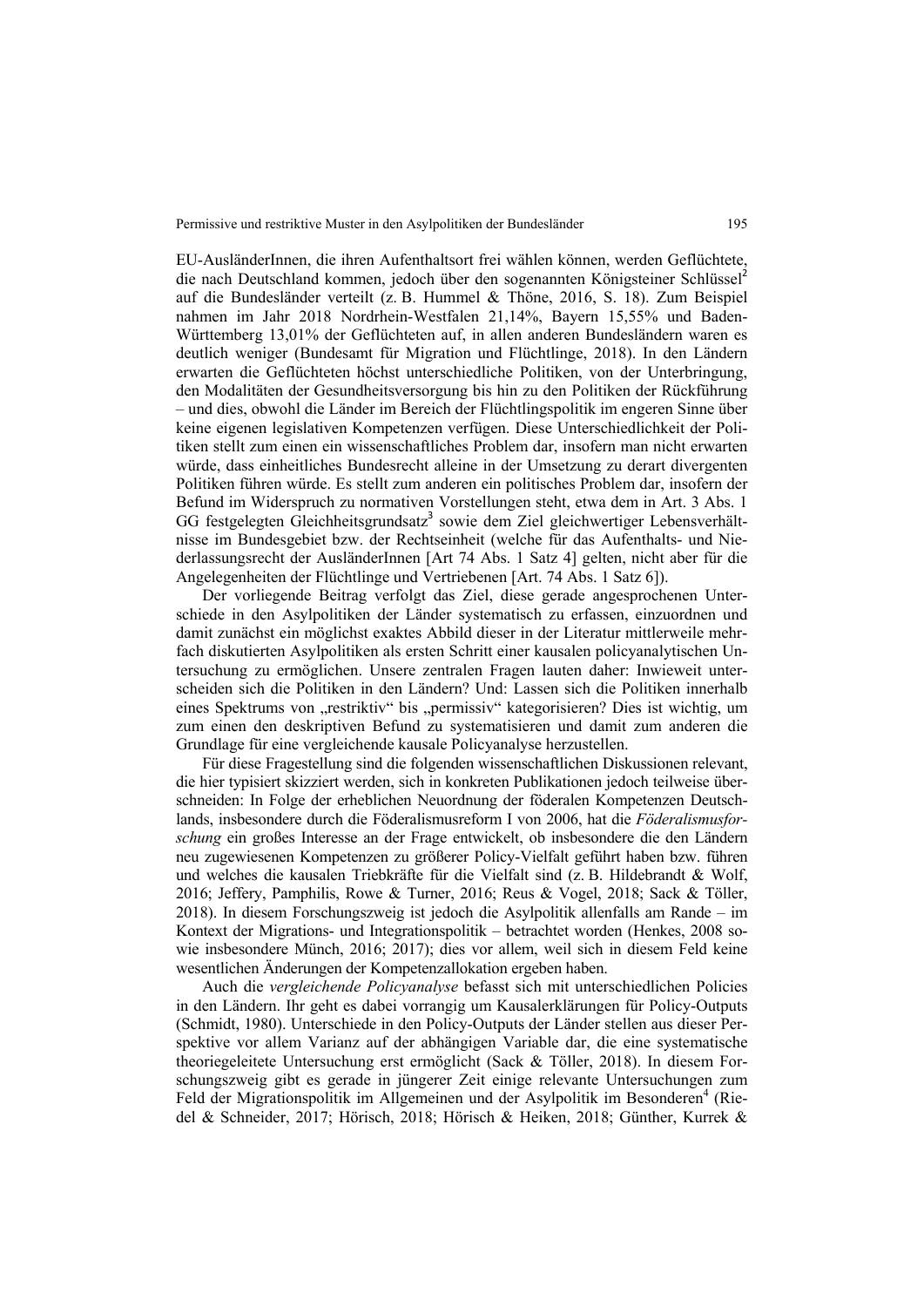EU-AusländerInnen, die ihren Aufenthaltsort frei wählen können, werden Geflüchtete, die nach Deutschland kommen, jedoch über den sogenannten Königsteiner Schlüssel<sup>2</sup> auf die Bundesländer verteilt (z. B. Hummel & Thöne, 2016, S. 18). Zum Beispiel nahmen im Jahr 2018 Nordrhein-Westfalen 21,14%, Bayern 15,55% und Baden-Württemberg 13,01% der Geflüchteten auf, in allen anderen Bundesländern waren es deutlich weniger (Bundesamt für Migration und Flüchtlinge, 2018). In den Ländern erwarten die Geflüchteten höchst unterschiedliche Politiken, von der Unterbringung, den Modalitäten der Gesundheitsversorgung bis hin zu den Politiken der Rückführung – und dies, obwohl die Länder im Bereich der Flüchtlingspolitik im engeren Sinne über keine eigenen legislativen Kompetenzen verfügen. Diese Unterschiedlichkeit der Politiken stellt zum einen ein wissenschaftliches Problem dar, insofern man nicht erwarten würde, dass einheitliches Bundesrecht alleine in der Umsetzung zu derart divergenten Politiken führen würde. Es stellt zum anderen ein politisches Problem dar, insofern der Befund im Widerspruch zu normativen Vorstellungen steht, etwa dem in Art. 3 Abs. 1 GG festgelegten Gleichheitsgrundsatz<sup>3</sup> sowie dem Ziel gleichwertiger Lebensverhältnisse im Bundesgebiet bzw. der Rechtseinheit (welche für das Aufenthalts- und Niederlassungsrecht der AusländerInnen [Art 74 Abs. 1 Satz 4] gelten, nicht aber für die Angelegenheiten der Flüchtlinge und Vertriebenen [Art. 74 Abs. 1 Satz 6]).

Der vorliegende Beitrag verfolgt das Ziel, diese gerade angesprochenen Unterschiede in den Asylpolitiken der Länder systematisch zu erfassen, einzuordnen und damit zunächst ein möglichst exaktes Abbild dieser in der Literatur mittlerweile mehrfach diskutierten Asylpolitiken als ersten Schritt einer kausalen policyanalytischen Untersuchung zu ermöglichen. Unsere zentralen Fragen lauten daher: Inwieweit unterscheiden sich die Politiken in den Ländern? Und: Lassen sich die Politiken innerhalb eines Spektrums von "restriktiv" bis "permissiv" kategorisieren? Dies ist wichtig, um zum einen den deskriptiven Befund zu systematisieren und damit zum anderen die Grundlage für eine vergleichende kausale Policyanalyse herzustellen.

Für diese Fragestellung sind die folgenden wissenschaftlichen Diskussionen relevant, die hier typisiert skizziert werden, sich in konkreten Publikationen jedoch teilweise überschneiden: In Folge der erheblichen Neuordnung der föderalen Kompetenzen Deutschlands, insbesondere durch die Föderalismusreform I von 2006, hat die *Föderalismusforschung* ein großes Interesse an der Frage entwickelt, ob insbesondere die den Ländern neu zugewiesenen Kompetenzen zu größerer Policy-Vielfalt geführt haben bzw. führen und welches die kausalen Triebkräfte für die Vielfalt sind (z. B. Hildebrandt & Wolf, 2016; Jeffery, Pamphilis, Rowe & Turner, 2016; Reus & Vogel, 2018; Sack & Töller, 2018). In diesem Forschungszweig ist jedoch die Asylpolitik allenfalls am Rande – im Kontext der Migrations- und Integrationspolitik – betrachtet worden (Henkes, 2008 sowie insbesondere Münch, 2016; 2017); dies vor allem, weil sich in diesem Feld keine wesentlichen Änderungen der Kompetenzallokation ergeben haben.

Auch die *vergleichende Policyanalyse* befasst sich mit unterschiedlichen Policies in den Ländern. Ihr geht es dabei vorrangig um Kausalerklärungen für Policy-Outputs (Schmidt, 1980). Unterschiede in den Policy-Outputs der Länder stellen aus dieser Perspektive vor allem Varianz auf der abhängigen Variable dar, die eine systematische theoriegeleitete Untersuchung erst ermöglicht (Sack & Töller, 2018). In diesem Forschungszweig gibt es gerade in jüngerer Zeit einige relevante Untersuchungen zum Feld der Migrationspolitik im Allgemeinen und der Asylpolitik im Besonderen<sup>4</sup> (Riedel & Schneider, 2017; Hörisch, 2018; Hörisch & Heiken, 2018; Günther, Kurrek &